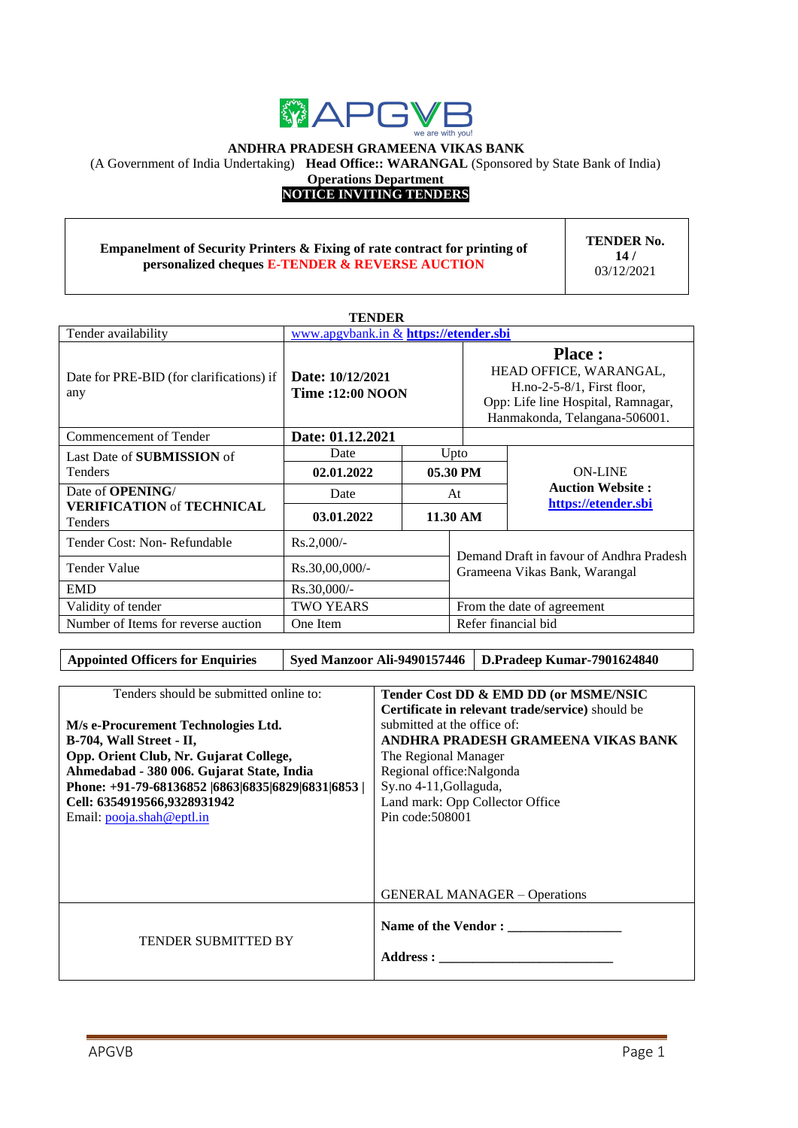

#### **ANDHRA PRADESH GRAMEENA VIKAS BANK**

(A Government of India Undertaking) **Head Office:: WARANGAL** (Sponsored by State Bank of India)

**Operations Department**

## **NOTICE INVITING TENDERS**

#### **Empanelment of Security Printers & Fixing of rate contract for printing of personalized cheques E-TENDER & REVERSE AUCTION**

**TENDER No. 14 /** 03/12/2021

| <b>TENDER</b>                                      |                                              |  |                                                                                                                                                 |                         |  |
|----------------------------------------------------|----------------------------------------------|--|-------------------------------------------------------------------------------------------------------------------------------------------------|-------------------------|--|
| Tender availability                                | www.apgvbank.in & https://etender.sbi        |  |                                                                                                                                                 |                         |  |
| Date for PRE-BID (for clarifications) if<br>any    | Date: 10/12/2021<br><b>Time : 12:00 NOON</b> |  | <b>Place:</b><br>HEAD OFFICE, WARANGAL,<br>$H.no-2-5-8/1$ , First floor,<br>Opp: Life line Hospital, Ramnagar,<br>Hanmakonda, Telangana-506001. |                         |  |
| Commencement of Tender                             | Date: 01.12.2021                             |  |                                                                                                                                                 |                         |  |
| Last Date of <b>SUBMISSION</b> of                  | Date                                         |  | Upto                                                                                                                                            |                         |  |
| <b>Tenders</b>                                     | 02.01.2022                                   |  | 05.30 PM                                                                                                                                        | <b>ON-LINE</b>          |  |
| Date of <b>OPENING</b> /                           | Date                                         |  | At                                                                                                                                              | <b>Auction Website:</b> |  |
| <b>VERIFICATION of TECHNICAL</b><br><b>Tenders</b> | 03.01.2022                                   |  | 11.30 AM                                                                                                                                        | https://etender.sbi     |  |
| Tender Cost: Non-Refundable                        | $Rs.2,000/-$                                 |  | Demand Draft in favour of Andhra Pradesh                                                                                                        |                         |  |
| Tender Value                                       | $Rs.30,00,000/$ -                            |  | Grameena Vikas Bank, Warangal                                                                                                                   |                         |  |
| <b>EMD</b>                                         | Rs.30,000/-                                  |  |                                                                                                                                                 |                         |  |
| Validity of tender                                 | <b>TWO YEARS</b>                             |  | From the date of agreement                                                                                                                      |                         |  |
| Number of Items for reverse auction                | One Item                                     |  | Refer financial bid                                                                                                                             |                         |  |

#### Appointed Officers for Enquiries Syed Manzoor Ali-9490157446 D.Pradeep Kumar-7901624840

| Tenders should be submitted online to:<br>Tender Cost DD & EMD DD (or MSME/NSIC<br>Certificate in relevant trade/service) should be<br>submitted at the office of:<br>M/s e-Procurement Technologies Ltd.<br>ANDHRA PRADESH GRAMEENA VIKAS BANK<br>B-704, Wall Street - II,<br>Opp. Orient Club, Nr. Gujarat College,<br>The Regional Manager<br>Regional office: Nalgonda<br>Ahmedabad - 380 006. Gujarat State, India<br>Sy.no 4-11, Gollaguda,<br>Phone: +91-79-68136852  6863 6835 6829 6831 6853  <br>Land mark: Opp Collector Office<br>Cell: 6354919566,9328931942<br>Pin code: 508001<br>Email: pooja.shah@eptl.in<br><b>GENERAL MANAGER – Operations</b><br>Name of the Vendor:<br><b>TENDER SUBMITTED BY</b> |  |
|------------------------------------------------------------------------------------------------------------------------------------------------------------------------------------------------------------------------------------------------------------------------------------------------------------------------------------------------------------------------------------------------------------------------------------------------------------------------------------------------------------------------------------------------------------------------------------------------------------------------------------------------------------------------------------------------------------------------|--|
|                                                                                                                                                                                                                                                                                                                                                                                                                                                                                                                                                                                                                                                                                                                        |  |
|                                                                                                                                                                                                                                                                                                                                                                                                                                                                                                                                                                                                                                                                                                                        |  |
|                                                                                                                                                                                                                                                                                                                                                                                                                                                                                                                                                                                                                                                                                                                        |  |
|                                                                                                                                                                                                                                                                                                                                                                                                                                                                                                                                                                                                                                                                                                                        |  |
|                                                                                                                                                                                                                                                                                                                                                                                                                                                                                                                                                                                                                                                                                                                        |  |
|                                                                                                                                                                                                                                                                                                                                                                                                                                                                                                                                                                                                                                                                                                                        |  |
|                                                                                                                                                                                                                                                                                                                                                                                                                                                                                                                                                                                                                                                                                                                        |  |
|                                                                                                                                                                                                                                                                                                                                                                                                                                                                                                                                                                                                                                                                                                                        |  |
|                                                                                                                                                                                                                                                                                                                                                                                                                                                                                                                                                                                                                                                                                                                        |  |
|                                                                                                                                                                                                                                                                                                                                                                                                                                                                                                                                                                                                                                                                                                                        |  |
|                                                                                                                                                                                                                                                                                                                                                                                                                                                                                                                                                                                                                                                                                                                        |  |
|                                                                                                                                                                                                                                                                                                                                                                                                                                                                                                                                                                                                                                                                                                                        |  |
|                                                                                                                                                                                                                                                                                                                                                                                                                                                                                                                                                                                                                                                                                                                        |  |
|                                                                                                                                                                                                                                                                                                                                                                                                                                                                                                                                                                                                                                                                                                                        |  |
|                                                                                                                                                                                                                                                                                                                                                                                                                                                                                                                                                                                                                                                                                                                        |  |
|                                                                                                                                                                                                                                                                                                                                                                                                                                                                                                                                                                                                                                                                                                                        |  |
|                                                                                                                                                                                                                                                                                                                                                                                                                                                                                                                                                                                                                                                                                                                        |  |
|                                                                                                                                                                                                                                                                                                                                                                                                                                                                                                                                                                                                                                                                                                                        |  |
|                                                                                                                                                                                                                                                                                                                                                                                                                                                                                                                                                                                                                                                                                                                        |  |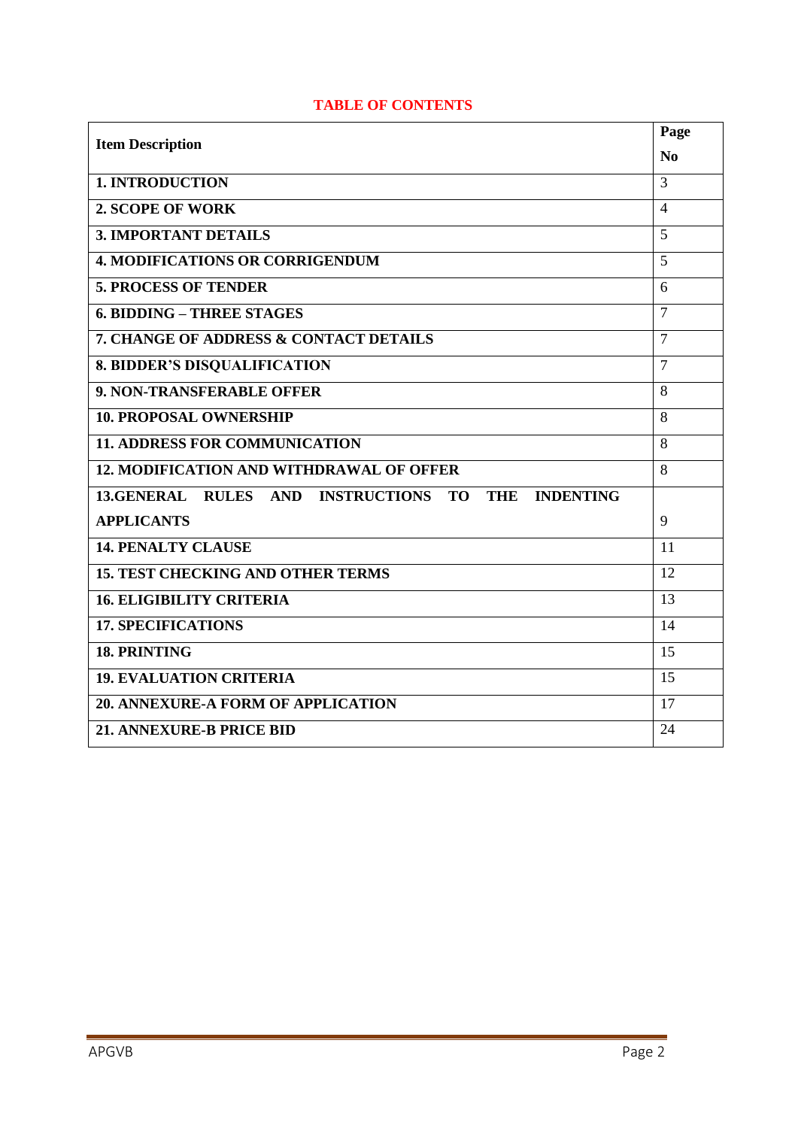| <b>Item Description</b>                                                                              | Page           |
|------------------------------------------------------------------------------------------------------|----------------|
|                                                                                                      | No             |
| <b>1. INTRODUCTION</b>                                                                               | 3              |
| <b>2. SCOPE OF WORK</b>                                                                              | $\overline{4}$ |
| <b>3. IMPORTANT DETAILS</b>                                                                          | 5              |
| <b>4. MODIFICATIONS OR CORRIGENDUM</b>                                                               | $\overline{5}$ |
| <b>5. PROCESS OF TENDER</b>                                                                          | 6              |
| <b>6. BIDDING - THREE STAGES</b>                                                                     | 7              |
| 7. CHANGE OF ADDRESS & CONTACT DETAILS                                                               | $\overline{7}$ |
| <b>8. BIDDER'S DISQUALIFICATION</b>                                                                  | 7              |
| 9. NON-TRANSFERABLE OFFER                                                                            | 8              |
| <b>10. PROPOSAL OWNERSHIP</b>                                                                        | 8              |
| <b>11. ADDRESS FOR COMMUNICATION</b>                                                                 | 8              |
| <b>12. MODIFICATION AND WITHDRAWAL OF OFFER</b>                                                      | 8              |
| 13.GENERAL<br><b>INSTRUCTIONS</b><br><b>INDENTING</b><br><b>RULES AND</b><br><b>TO</b><br><b>THE</b> |                |
| <b>APPLICANTS</b>                                                                                    | 9              |
| <b>14. PENALTY CLAUSE</b>                                                                            | 11             |
| <b>15. TEST CHECKING AND OTHER TERMS</b>                                                             | 12             |
| <b>16. ELIGIBILITY CRITERIA</b>                                                                      | 13             |
| <b>17. SPECIFICATIONS</b>                                                                            | 14             |
| <b>18. PRINTING</b>                                                                                  | 15             |
| <b>19. EVALUATION CRITERIA</b>                                                                       | 15             |
| 20. ANNEXURE-A FORM OF APPLICATION                                                                   | 17             |
| <b>21. ANNEXURE-B PRICE BID</b>                                                                      | 24             |

# **TABLE OF CONTENTS**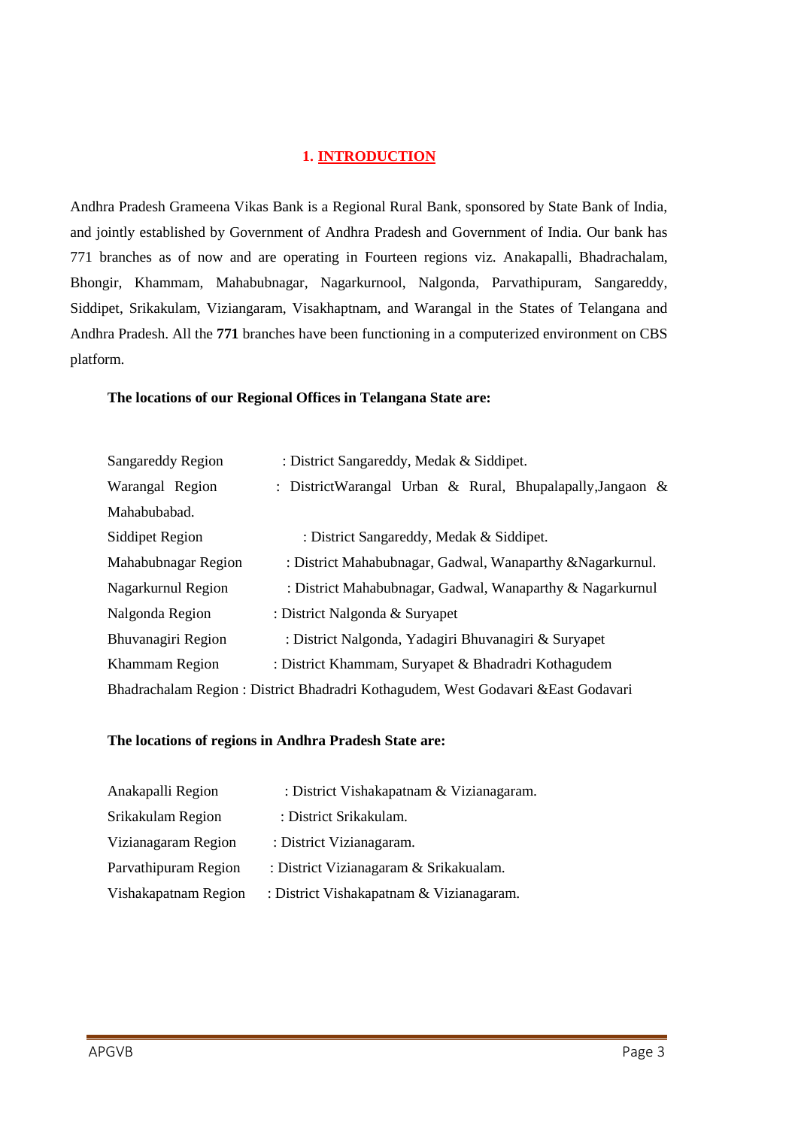## **1. INTRODUCTION**

Andhra Pradesh Grameena Vikas Bank is a Regional Rural Bank, sponsored by State Bank of India, and jointly established by Government of Andhra Pradesh and Government of India. Our bank has 771 branches as of now and are operating in Fourteen regions viz. Anakapalli, Bhadrachalam, Bhongir, Khammam, Mahabubnagar, Nagarkurnool, Nalgonda, Parvathipuram, Sangareddy, Siddipet, Srikakulam, Viziangaram, Visakhaptnam, and Warangal in the States of Telangana and Andhra Pradesh. All the **771** branches have been functioning in a computerized environment on CBS platform.

#### **The locations of our Regional Offices in Telangana State are:**

| Sangareddy Region      | : District Sangareddy, Medak & Siddipet.                                           |  |  |
|------------------------|------------------------------------------------------------------------------------|--|--|
| Warangal Region        | : DistrictWarangal Urban & Rural, Bhupalapally, Jangaon &                          |  |  |
| Mahabubabad.           |                                                                                    |  |  |
| <b>Siddipet Region</b> | : District Sangareddy, Medak & Siddipet.                                           |  |  |
| Mahabubnagar Region    | : District Mahabubnagar, Gadwal, Wanaparthy & Nagarkurnul.                         |  |  |
| Nagarkurnul Region     | : District Mahabubnagar, Gadwal, Wanaparthy & Nagarkurnul                          |  |  |
| Nalgonda Region        | : District Nalgonda & Suryapet                                                     |  |  |
| Bhuvanagiri Region     | : District Nalgonda, Yadagiri Bhuvanagiri & Suryapet                               |  |  |
| Khammam Region         | : District Khammam, Suryapet & Bhadradri Kothagudem                                |  |  |
|                        | Bhadrachalam Region : District Bhadradri Kothagudem, West Godavari & East Godavari |  |  |

#### **The locations of regions in Andhra Pradesh State are:**

| Anakapalli Region    | : District Vishakapatnam & Vizianagaram. |
|----------------------|------------------------------------------|
| Srikakulam Region    | : District Srikakulam.                   |
| Vizianagaram Region  | : District Vizianagaram.                 |
| Parvathipuram Region | : District Vizianagaram & Srikakualam.   |
| Vishakapatnam Region | : District Vishakapatnam & Vizianagaram. |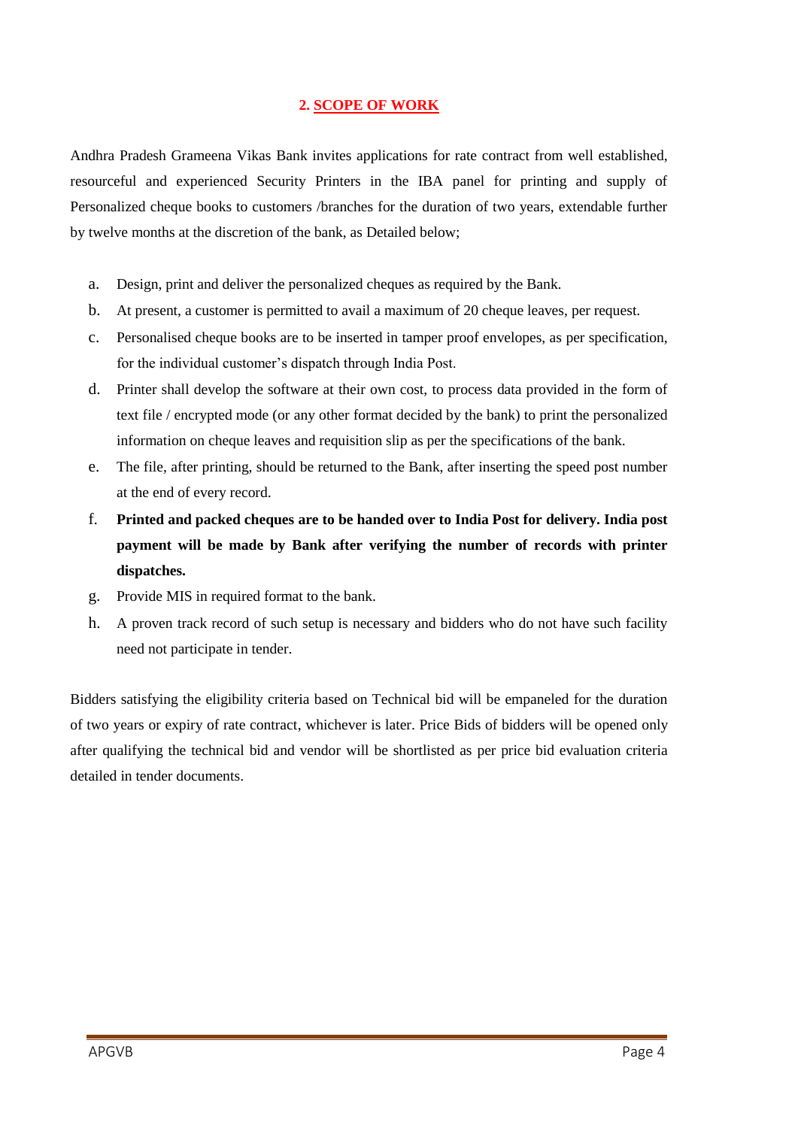## **2. SCOPE OF WORK**

Andhra Pradesh Grameena Vikas Bank invites applications for rate contract from well established, resourceful and experienced Security Printers in the IBA panel for printing and supply of Personalized cheque books to customers /branches for the duration of two years, extendable further by twelve months at the discretion of the bank, as Detailed below;

- a. Design, print and deliver the personalized cheques as required by the Bank.
- b. At present, a customer is permitted to avail a maximum of 20 cheque leaves, per request.
- c. Personalised cheque books are to be inserted in tamper proof envelopes, as per specification, for the individual customer's dispatch through India Post.
- d. Printer shall develop the software at their own cost, to process data provided in the form of text file / encrypted mode (or any other format decided by the bank) to print the personalized information on cheque leaves and requisition slip as per the specifications of the bank.
- e. The file, after printing, should be returned to the Bank, after inserting the speed post number at the end of every record.
- f. **Printed and packed cheques are to be handed over to India Post for delivery. India post payment will be made by Bank after verifying the number of records with printer dispatches.**
- g. Provide MIS in required format to the bank.
- h. A proven track record of such setup is necessary and bidders who do not have such facility need not participate in tender.

Bidders satisfying the eligibility criteria based on Technical bid will be empaneled for the duration of two years or expiry of rate contract, whichever is later. Price Bids of bidders will be opened only after qualifying the technical bid and vendor will be shortlisted as per price bid evaluation criteria detailed in tender documents.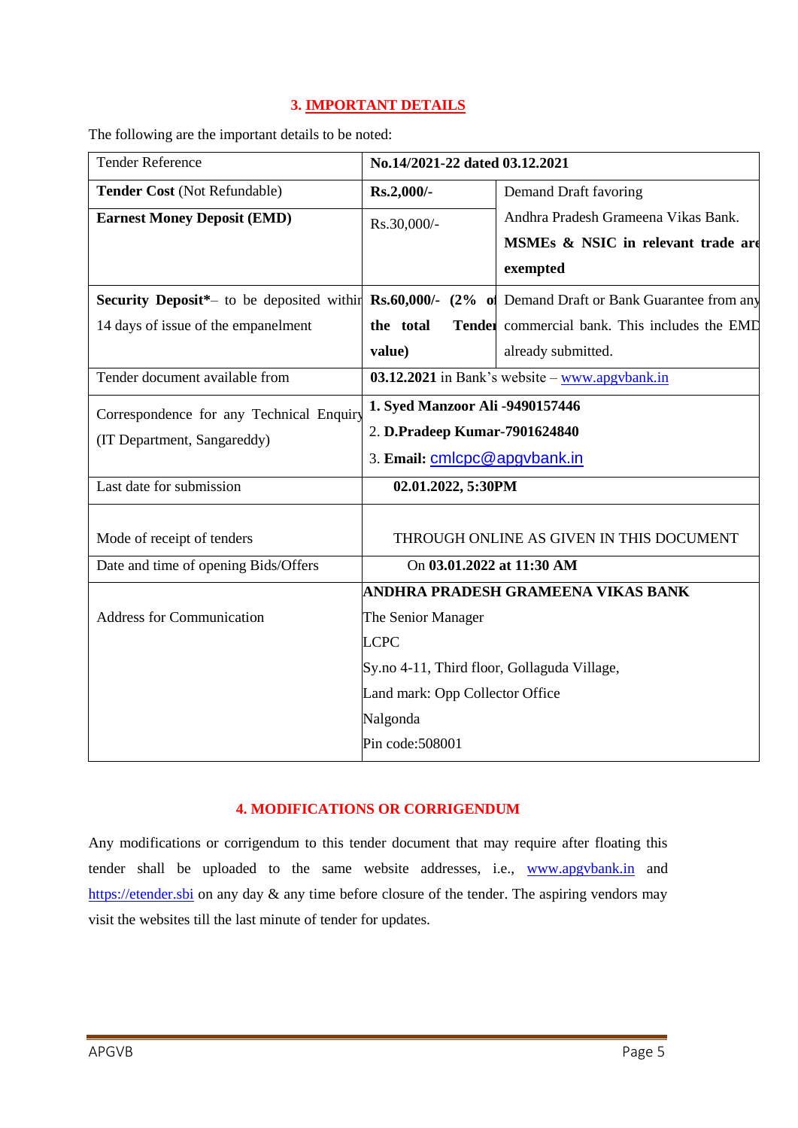# **3. IMPORTANT DETAILS**

The following are the important details to be noted:

| <b>Tender Reference</b>                                                                                             | No.14/2021-22 dated 03.12.2021                                |                                                             |  |
|---------------------------------------------------------------------------------------------------------------------|---------------------------------------------------------------|-------------------------------------------------------------|--|
| Tender Cost (Not Refundable)                                                                                        | Rs.2,000/-                                                    | Demand Draft favoring                                       |  |
| <b>Earnest Money Deposit (EMD)</b>                                                                                  | Rs.30,000/-                                                   | Andhra Pradesh Grameena Vikas Bank.                         |  |
|                                                                                                                     |                                                               | MSMEs & NSIC in relevant trade are                          |  |
|                                                                                                                     |                                                               | exempted                                                    |  |
| <b>Security Deposit</b> *- to be deposited within <b>Rs.60,000/-</b> (2% of Demand Draft or Bank Guarantee from any |                                                               |                                                             |  |
| 14 days of issue of the empanelment                                                                                 | the total                                                     | Tender commercial bank. This includes the EMD               |  |
|                                                                                                                     | value)                                                        | already submitted.                                          |  |
| Tender document available from                                                                                      |                                                               | $\overline{03.12.2021}$ in Bank's website – www.apgybank.in |  |
| Correspondence for any Technical Enquiry                                                                            | 1. Syed Manzoor Ali -9490157446                               |                                                             |  |
| (IT Department, Sangareddy)                                                                                         | 2. D.Pradeep Kumar-7901624840<br>3. Email: cmlcpc@apgvbank.in |                                                             |  |
|                                                                                                                     |                                                               |                                                             |  |
| Last date for submission                                                                                            | 02.01.2022, 5:30PM                                            |                                                             |  |
|                                                                                                                     |                                                               |                                                             |  |
| Mode of receipt of tenders                                                                                          |                                                               | THROUGH ONLINE AS GIVEN IN THIS DOCUMENT                    |  |
| Date and time of opening Bids/Offers                                                                                | On 03.01.2022 at 11:30 AM                                     |                                                             |  |
|                                                                                                                     |                                                               | ANDHRA PRADESH GRAMEENA VIKAS BANK                          |  |
| <b>Address for Communication</b>                                                                                    | The Senior Manager                                            |                                                             |  |
|                                                                                                                     | <b>LCPC</b>                                                   |                                                             |  |
|                                                                                                                     | Sy.no 4-11, Third floor, Gollaguda Village,                   |                                                             |  |
|                                                                                                                     | Land mark: Opp Collector Office                               |                                                             |  |
|                                                                                                                     | Nalgonda                                                      |                                                             |  |
|                                                                                                                     | Pin code: 508001                                              |                                                             |  |

# **4. MODIFICATIONS OR CORRIGENDUM**

Any modifications or corrigendum to this tender document that may require after floating this tender shall be uploaded to the same website addresses, i.e., [www.apgvbank.in](http://www.apgvbank.in/) and [https://etender.sbi](https://etender.sbi/) on any day & any time before closure of the tender. The aspiring vendors may visit the websites till the last minute of tender for updates.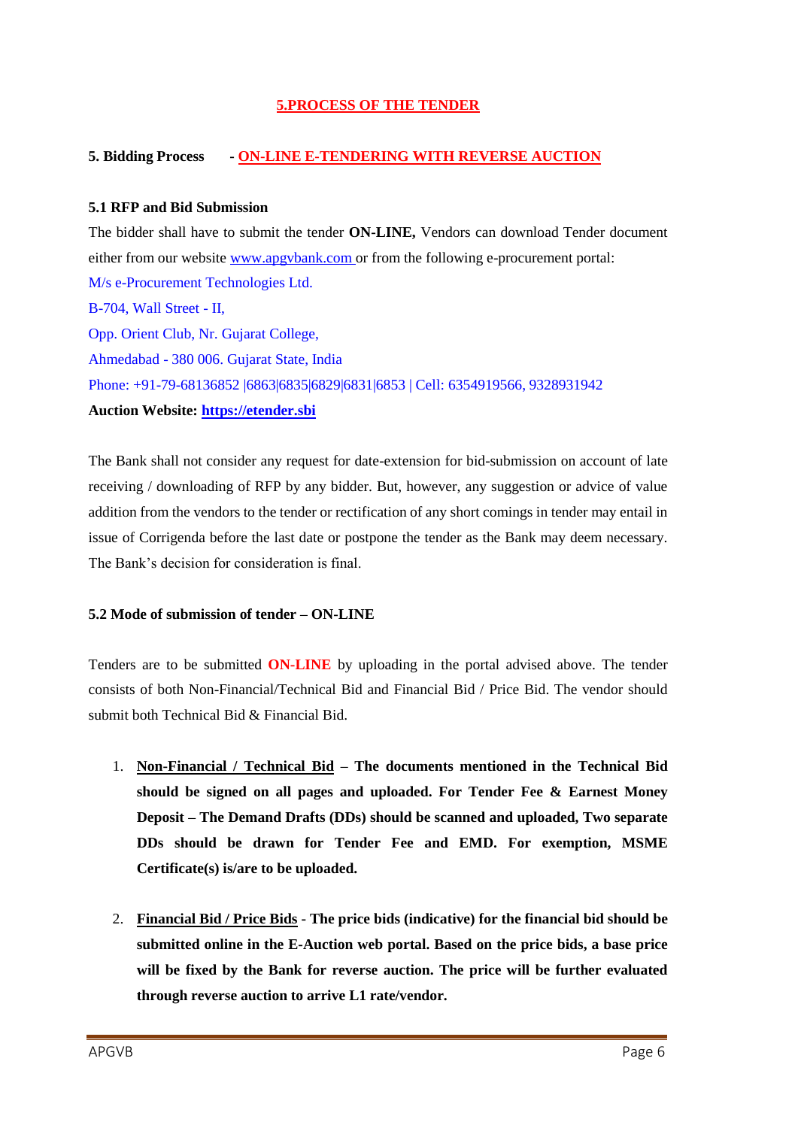## **5.PROCESS OF THE TENDER**

## **5. Bidding Process - ON-LINE E-TENDERING WITH REVERSE AUCTION**

#### **5.1 RFP and Bid Submission**

The bidder shall have to submit the tender **ON-LINE,** Vendors can download Tender document either from our websit[e www.apgvbank.com](http://www.apgvbank.com/) or from the following e-procurement portal: M/s e-Procurement Technologies Ltd. B-704, Wall Street - II, Opp. Orient Club, Nr. Gujarat College, Ahmedabad - 380 006. Gujarat State, India Phone: +91-79-68136852 |6863|6835|6829|6831|6853 | Cell: 6354919566, 9328931942 **Auction Website: [https://etender.sbi](https://etender.sbi/)**

The Bank shall not consider any request for date-extension for bid-submission on account of late receiving / downloading of RFP by any bidder. But, however, any suggestion or advice of value addition from the vendors to the tender or rectification of any short comings in tender may entail in issue of Corrigenda before the last date or postpone the tender as the Bank may deem necessary. The Bank"s decision for consideration is final.

#### **5.2 Mode of submission of tender – ON-LINE**

Tenders are to be submitted **ON-LINE** by uploading in the portal advised above. The tender consists of both Non-Financial/Technical Bid and Financial Bid / Price Bid. The vendor should submit both Technical Bid & Financial Bid.

- 1. **Non-Financial / Technical Bid – The documents mentioned in the Technical Bid should be signed on all pages and uploaded. For Tender Fee & Earnest Money Deposit – The Demand Drafts (DDs) should be scanned and uploaded, Two separate DDs should be drawn for Tender Fee and EMD. For exemption, MSME Certificate(s) is/are to be uploaded.**
- 2. **Financial Bid / Price Bids - The price bids (indicative) for the financial bid should be submitted online in the E-Auction web portal. Based on the price bids, a base price will be fixed by the Bank for reverse auction. The price will be further evaluated through reverse auction to arrive L1 rate/vendor.**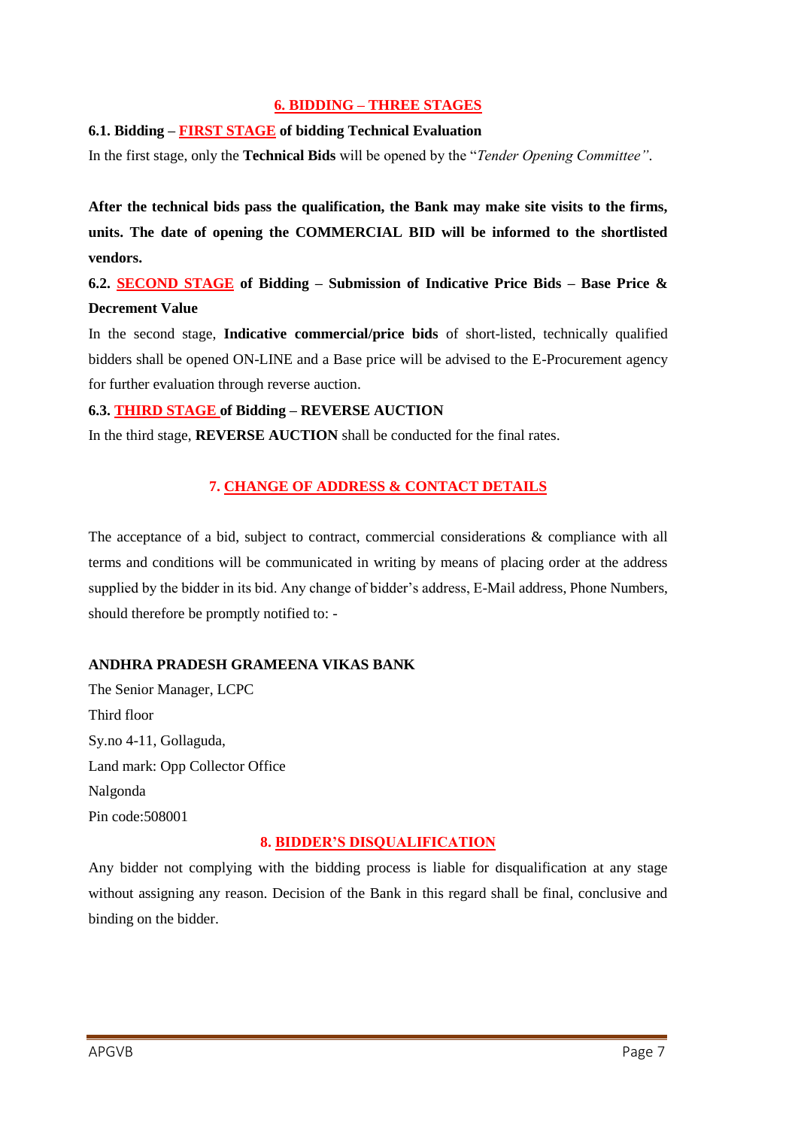## **6. BIDDING – THREE STAGES**

## **6.1. Bidding – FIRST STAGE of bidding Technical Evaluation**

In the first stage, only the **Technical Bids** will be opened by the "*Tender Opening Committee"*.

**After the technical bids pass the qualification, the Bank may make site visits to the firms, units. The date of opening the COMMERCIAL BID will be informed to the shortlisted vendors.**

# **6.2. SECOND STAGE of Bidding – Submission of Indicative Price Bids – Base Price & Decrement Value**

In the second stage, **Indicative commercial/price bids** of short-listed, technically qualified bidders shall be opened ON-LINE and a Base price will be advised to the E-Procurement agency for further evaluation through reverse auction.

## **6.3. THIRD STAGE of Bidding – REVERSE AUCTION**

In the third stage, **REVERSE AUCTION** shall be conducted for the final rates.

## **7. CHANGE OF ADDRESS & CONTACT DETAILS**

The acceptance of a bid, subject to contract, commercial considerations & compliance with all terms and conditions will be communicated in writing by means of placing order at the address supplied by the bidder in its bid. Any change of bidder"s address, E-Mail address, Phone Numbers, should therefore be promptly notified to: -

## **ANDHRA PRADESH GRAMEENA VIKAS BANK**

The Senior Manager, LCPC Third floor Sy.no 4-11, Gollaguda, Land mark: Opp Collector Office Nalgonda Pin code:508001

## **8. BIDDER'S DISQUALIFICATION**

Any bidder not complying with the bidding process is liable for disqualification at any stage without assigning any reason. Decision of the Bank in this regard shall be final, conclusive and binding on the bidder.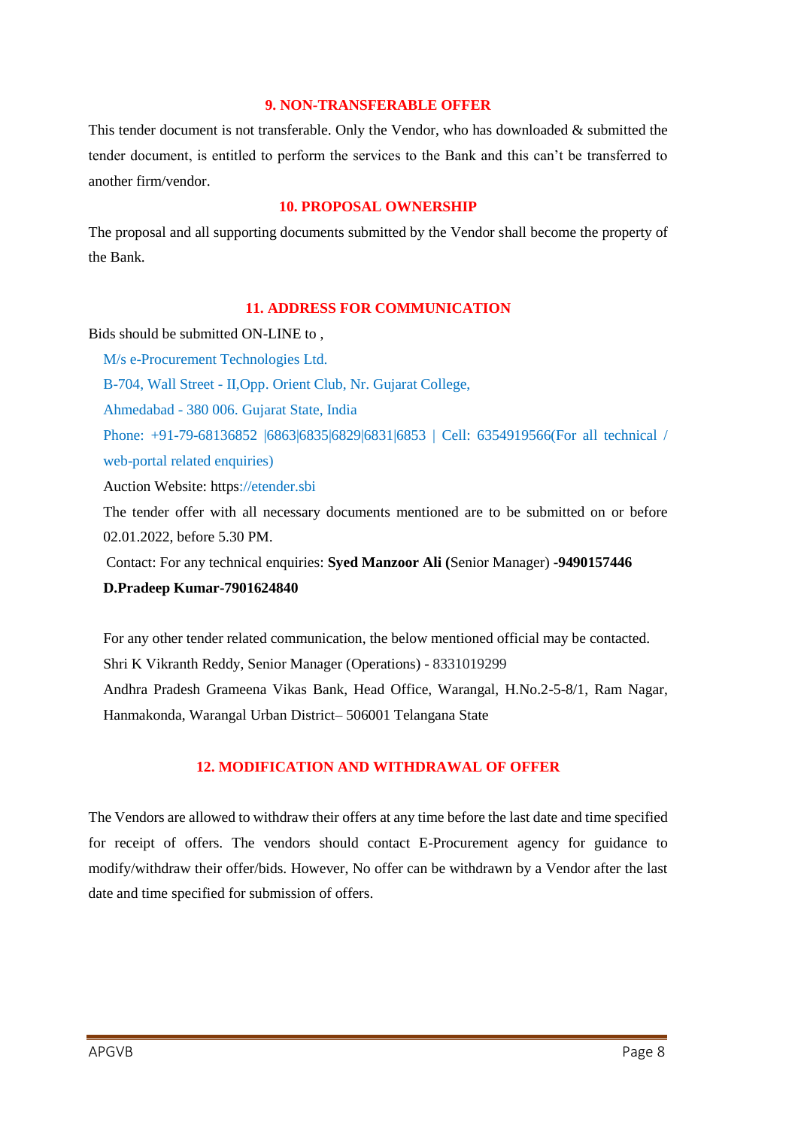#### **9. NON-TRANSFERABLE OFFER**

This tender document is not transferable. Only the Vendor, who has downloaded & submitted the tender document, is entitled to perform the services to the Bank and this can"t be transferred to another firm/vendor.

## **10. PROPOSAL OWNERSHIP**

The proposal and all supporting documents submitted by the Vendor shall become the property of the Bank.

#### **11. ADDRESS FOR COMMUNICATION**

Bids should be submitted ON-LINE to ,

M/s e-Procurement Technologies Ltd. B-704, Wall Street - II,Opp. Orient Club, Nr. Gujarat College, Ahmedabad - 380 006. Gujarat State, India Phone: +91-79-68136852 |6863|6835|6829|6831|6853 | Cell: 6354919566(For all technical / web-portal related enquiries)

Auction Website: https://etender.sbi

The tender offer with all necessary documents mentioned are to be submitted on or before 02.01.2022, before 5.30 PM.

Contact: For any technical enquiries: **Syed Manzoor Ali (**Senior Manager) **-9490157446**

#### **D.Pradeep Kumar-7901624840**

For any other tender related communication, the below mentioned official may be contacted. Shri K Vikranth Reddy, Senior Manager (Operations) - 8331019299 Andhra Pradesh Grameena Vikas Bank, Head Office, Warangal, H.No.2-5-8/1, Ram Nagar, Hanmakonda, Warangal Urban District– 506001 Telangana State

## **12. MODIFICATION AND WITHDRAWAL OF OFFER**

The Vendors are allowed to withdraw their offers at any time before the last date and time specified for receipt of offers. The vendors should contact E-Procurement agency for guidance to modify/withdraw their offer/bids. However, No offer can be withdrawn by a Vendor after the last date and time specified for submission of offers.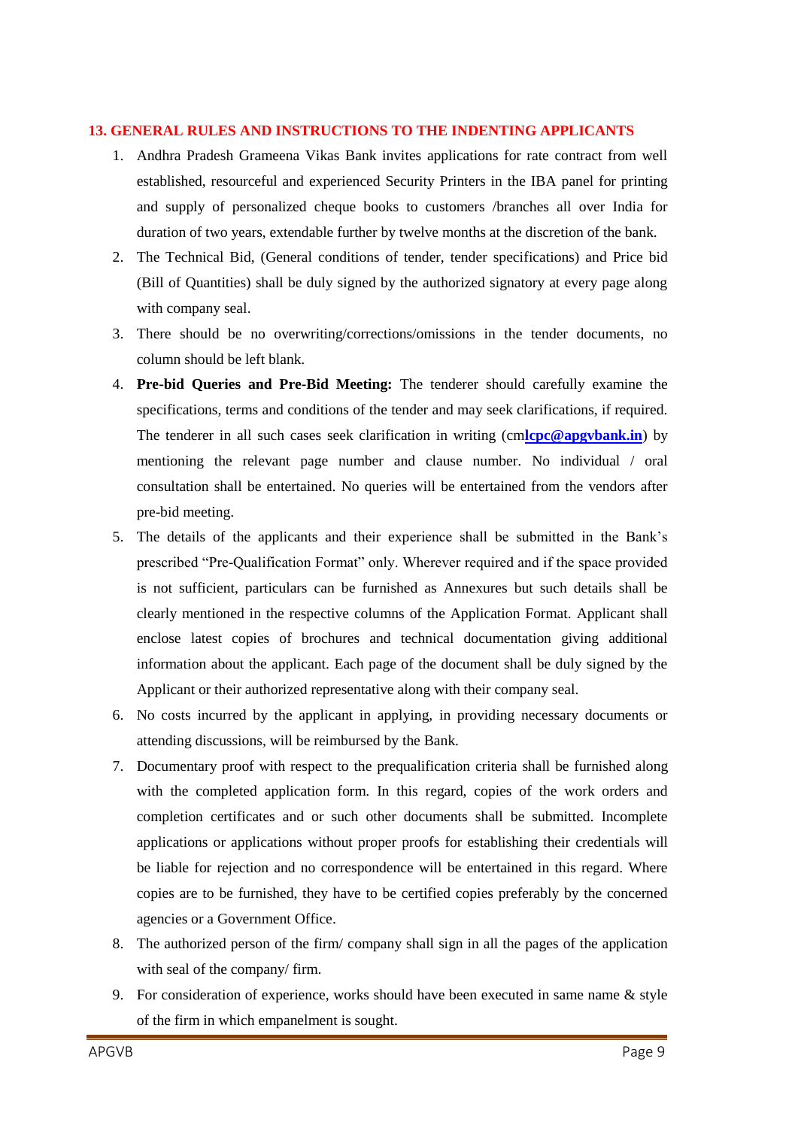#### **13. GENERAL RULES AND INSTRUCTIONS TO THE INDENTING APPLICANTS**

- 1. Andhra Pradesh Grameena Vikas Bank invites applications for rate contract from well established, resourceful and experienced Security Printers in the IBA panel for printing and supply of personalized cheque books to customers /branches all over India for duration of two years, extendable further by twelve months at the discretion of the bank.
- 2. The Technical Bid, (General conditions of tender, tender specifications) and Price bid (Bill of Quantities) shall be duly signed by the authorized signatory at every page along with company seal.
- 3. There should be no overwriting/corrections/omissions in the tender documents, no column should be left blank.
- 4. **Pre-bid Queries and Pre-Bid Meeting:** The tenderer should carefully examine the specifications, terms and conditions of the tender and may seek clarifications, if required. The tenderer in all such cases seek clarification in writing (cm**[lcpc@apgvbank.in](mailto:lcpc@apgvbank.in)**) by mentioning the relevant page number and clause number. No individual / oral consultation shall be entertained. No queries will be entertained from the vendors after pre-bid meeting.
- 5. The details of the applicants and their experience shall be submitted in the Bank"s prescribed "Pre-Qualification Format" only. Wherever required and if the space provided is not sufficient, particulars can be furnished as Annexures but such details shall be clearly mentioned in the respective columns of the Application Format. Applicant shall enclose latest copies of brochures and technical documentation giving additional information about the applicant. Each page of the document shall be duly signed by the Applicant or their authorized representative along with their company seal.
- 6. No costs incurred by the applicant in applying, in providing necessary documents or attending discussions, will be reimbursed by the Bank.
- 7. Documentary proof with respect to the prequalification criteria shall be furnished along with the completed application form. In this regard, copies of the work orders and completion certificates and or such other documents shall be submitted. Incomplete applications or applications without proper proofs for establishing their credentials will be liable for rejection and no correspondence will be entertained in this regard. Where copies are to be furnished, they have to be certified copies preferably by the concerned agencies or a Government Office.
- 8. The authorized person of the firm/ company shall sign in all the pages of the application with seal of the company/ firm.
- 9. For consideration of experience, works should have been executed in same name & style of the firm in which empanelment is sought.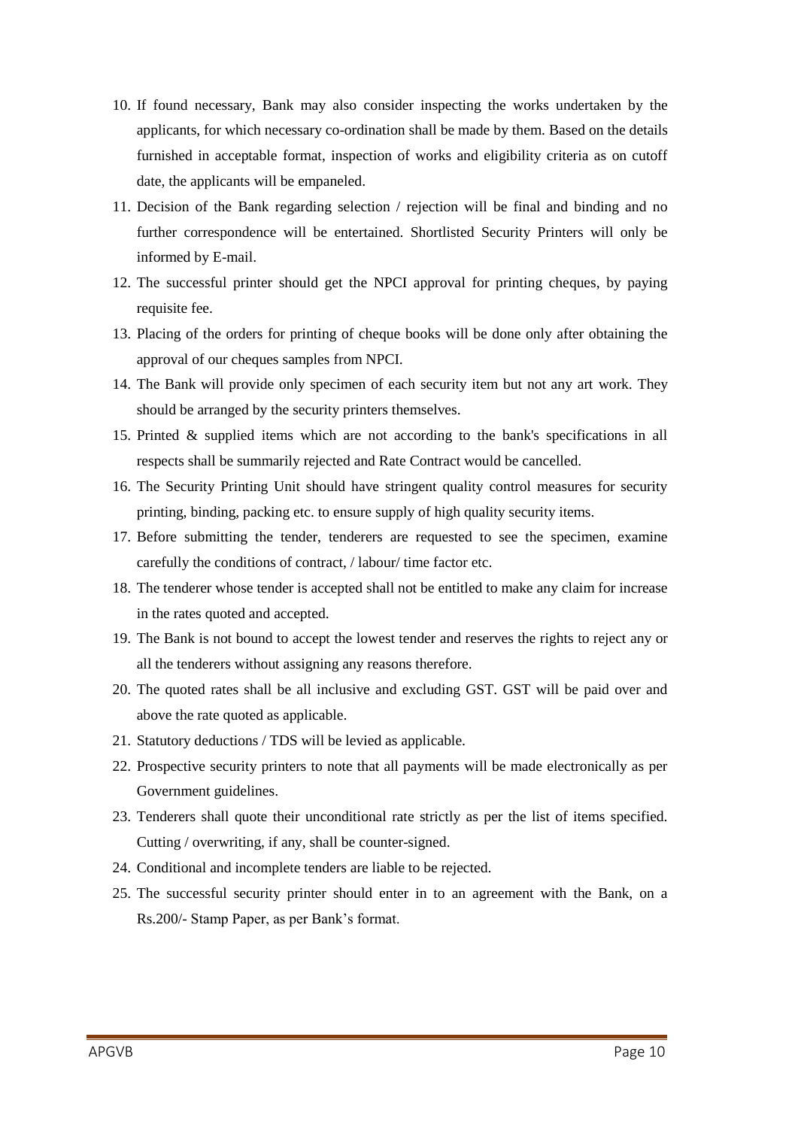- 10. If found necessary, Bank may also consider inspecting the works undertaken by the applicants, for which necessary co-ordination shall be made by them. Based on the details furnished in acceptable format, inspection of works and eligibility criteria as on cutoff date, the applicants will be empaneled.
- 11. Decision of the Bank regarding selection / rejection will be final and binding and no further correspondence will be entertained. Shortlisted Security Printers will only be informed by E-mail.
- 12. The successful printer should get the NPCI approval for printing cheques, by paying requisite fee.
- 13. Placing of the orders for printing of cheque books will be done only after obtaining the approval of our cheques samples from NPCI.
- 14. The Bank will provide only specimen of each security item but not any art work. They should be arranged by the security printers themselves.
- 15. Printed & supplied items which are not according to the bank's specifications in all respects shall be summarily rejected and Rate Contract would be cancelled.
- 16. The Security Printing Unit should have stringent quality control measures for security printing, binding, packing etc. to ensure supply of high quality security items.
- 17. Before submitting the tender, tenderers are requested to see the specimen, examine carefully the conditions of contract, / labour/ time factor etc.
- 18. The tenderer whose tender is accepted shall not be entitled to make any claim for increase in the rates quoted and accepted.
- 19. The Bank is not bound to accept the lowest tender and reserves the rights to reject any or all the tenderers without assigning any reasons therefore.
- 20. The quoted rates shall be all inclusive and excluding GST. GST will be paid over and above the rate quoted as applicable.
- 21. Statutory deductions / TDS will be levied as applicable.
- 22. Prospective security printers to note that all payments will be made electronically as per Government guidelines.
- 23. Tenderers shall quote their unconditional rate strictly as per the list of items specified. Cutting / overwriting, if any, shall be counter-signed.
- 24. Conditional and incomplete tenders are liable to be rejected.
- 25. The successful security printer should enter in to an agreement with the Bank, on a Rs.200/- Stamp Paper, as per Bank"s format.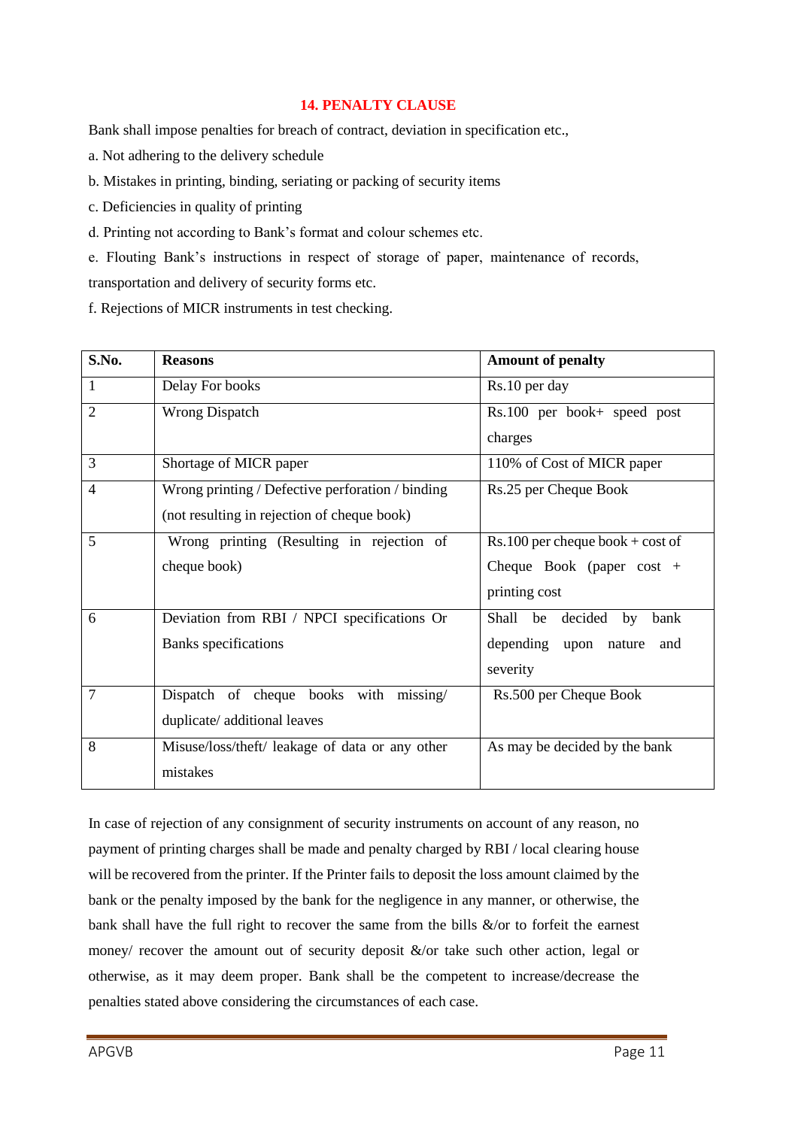## **14. PENALTY CLAUSE**

Bank shall impose penalties for breach of contract, deviation in specification etc.,

- a. Not adhering to the delivery schedule
- b. Mistakes in printing, binding, seriating or packing of security items
- c. Deficiencies in quality of printing
- d. Printing not according to Bank"s format and colour schemes etc.
- e. Flouting Bank"s instructions in respect of storage of paper, maintenance of records,

transportation and delivery of security forms etc.

f. Rejections of MICR instruments in test checking.

| S.No.          | <b>Reasons</b>                                   | <b>Amount of penalty</b>             |
|----------------|--------------------------------------------------|--------------------------------------|
| $\mathbf{1}$   | Delay For books                                  | Rs.10 per day                        |
| $\overline{2}$ | <b>Wrong Dispatch</b>                            | Rs.100 per book+ speed post          |
|                |                                                  | charges                              |
| $\overline{3}$ | Shortage of MICR paper                           | 110% of Cost of MICR paper           |
| $\overline{4}$ | Wrong printing / Defective perforation / binding | Rs.25 per Cheque Book                |
|                | (not resulting in rejection of cheque book)      |                                      |
| 5              | Wrong printing (Resulting in rejection of        | $Rs.100$ per cheque book + cost of   |
|                | cheque book)                                     | Cheque Book (paper $cost +$          |
|                |                                                  | printing cost                        |
| 6              | Deviation from RBI / NPCI specifications Or      | Shall<br>decided<br>be<br>by<br>bank |
|                | Banks specifications                             | depending upon nature<br>and         |
|                |                                                  | severity                             |
| $\overline{7}$ | Dispatch of cheque books with missing/           | Rs.500 per Cheque Book               |
|                | duplicate/additional leaves                      |                                      |
| 8              | Misuse/loss/theft/ leakage of data or any other  | As may be decided by the bank        |
|                | mistakes                                         |                                      |

In case of rejection of any consignment of security instruments on account of any reason, no payment of printing charges shall be made and penalty charged by RBI / local clearing house will be recovered from the printer. If the Printer fails to deposit the loss amount claimed by the bank or the penalty imposed by the bank for the negligence in any manner, or otherwise, the bank shall have the full right to recover the same from the bills  $\&$ /or to forfeit the earnest money/ recover the amount out of security deposit  $\&$ /or take such other action, legal or otherwise, as it may deem proper. Bank shall be the competent to increase/decrease the penalties stated above considering the circumstances of each case.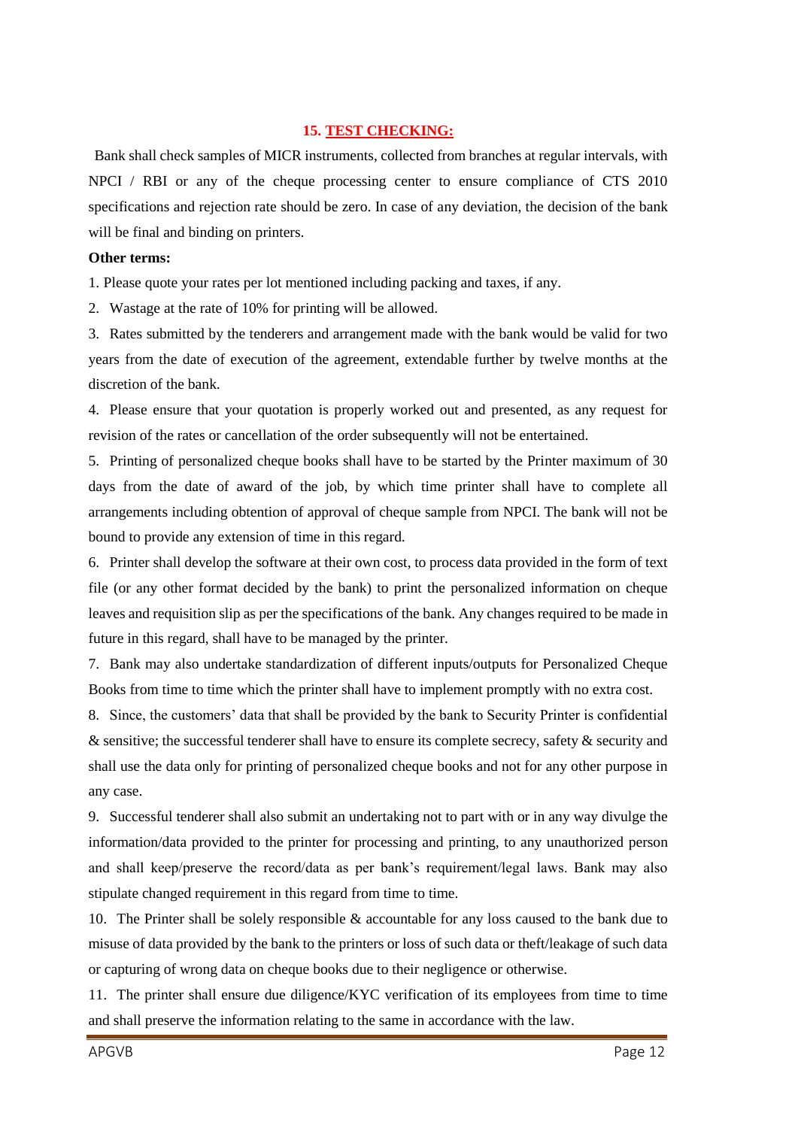#### **15. TEST CHECKING:**

Bank shall check samples of MICR instruments, collected from branches at regular intervals, with NPCI / RBI or any of the cheque processing center to ensure compliance of CTS 2010 specifications and rejection rate should be zero. In case of any deviation, the decision of the bank will be final and binding on printers.

#### **Other terms:**

1. Please quote your rates per lot mentioned including packing and taxes, if any.

2. Wastage at the rate of 10% for printing will be allowed.

3. Rates submitted by the tenderers and arrangement made with the bank would be valid for two years from the date of execution of the agreement, extendable further by twelve months at the discretion of the bank.

4. Please ensure that your quotation is properly worked out and presented, as any request for revision of the rates or cancellation of the order subsequently will not be entertained.

5. Printing of personalized cheque books shall have to be started by the Printer maximum of 30 days from the date of award of the job, by which time printer shall have to complete all arrangements including obtention of approval of cheque sample from NPCI. The bank will not be bound to provide any extension of time in this regard.

6. Printer shall develop the software at their own cost, to process data provided in the form of text file (or any other format decided by the bank) to print the personalized information on cheque leaves and requisition slip as per the specifications of the bank. Any changes required to be made in future in this regard, shall have to be managed by the printer.

7. Bank may also undertake standardization of different inputs/outputs for Personalized Cheque Books from time to time which the printer shall have to implement promptly with no extra cost.

8. Since, the customers" data that shall be provided by the bank to Security Printer is confidential & sensitive; the successful tenderer shall have to ensure its complete secrecy, safety & security and shall use the data only for printing of personalized cheque books and not for any other purpose in any case.

9. Successful tenderer shall also submit an undertaking not to part with or in any way divulge the information/data provided to the printer for processing and printing, to any unauthorized person and shall keep/preserve the record/data as per bank"s requirement/legal laws. Bank may also stipulate changed requirement in this regard from time to time.

10. The Printer shall be solely responsible & accountable for any loss caused to the bank due to misuse of data provided by the bank to the printers or loss of such data or theft/leakage of such data or capturing of wrong data on cheque books due to their negligence or otherwise.

11. The printer shall ensure due diligence/KYC verification of its employees from time to time and shall preserve the information relating to the same in accordance with the law.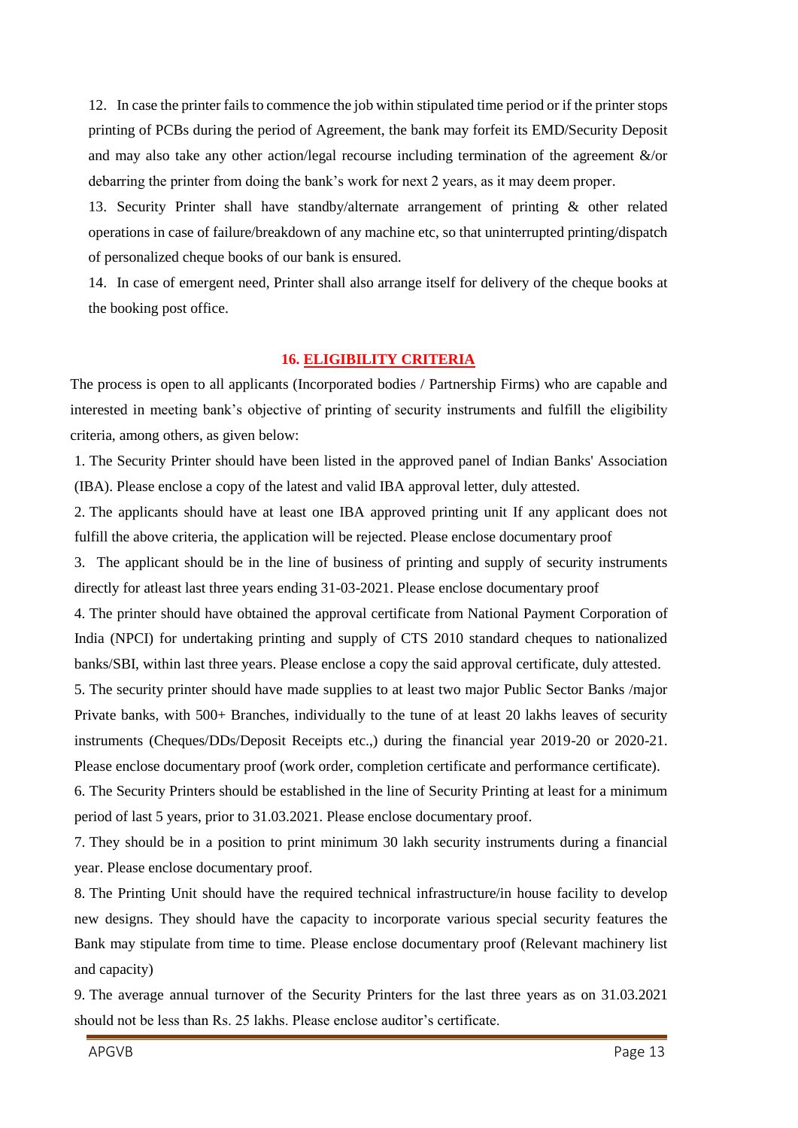12. In case the printer fails to commence the job within stipulated time period or if the printer stops printing of PCBs during the period of Agreement, the bank may forfeit its EMD/Security Deposit and may also take any other action/legal recourse including termination of the agreement &/or debarring the printer from doing the bank"s work for next 2 years, as it may deem proper.

13. Security Printer shall have standby/alternate arrangement of printing & other related operations in case of failure/breakdown of any machine etc, so that uninterrupted printing/dispatch of personalized cheque books of our bank is ensured.

14. In case of emergent need, Printer shall also arrange itself for delivery of the cheque books at the booking post office.

## **16. ELIGIBILITY CRITERIA**

The process is open to all applicants (Incorporated bodies / Partnership Firms) who are capable and interested in meeting bank"s objective of printing of security instruments and fulfill the eligibility criteria, among others, as given below:

1. The Security Printer should have been listed in the approved panel of Indian Banks' Association (IBA). Please enclose a copy of the latest and valid IBA approval letter, duly attested.

2. The applicants should have at least one IBA approved printing unit If any applicant does not fulfill the above criteria, the application will be rejected. Please enclose documentary proof

3. The applicant should be in the line of business of printing and supply of security instruments directly for atleast last three years ending 31-03-2021. Please enclose documentary proof

4. The printer should have obtained the approval certificate from National Payment Corporation of India (NPCI) for undertaking printing and supply of CTS 2010 standard cheques to nationalized banks/SBI, within last three years. Please enclose a copy the said approval certificate, duly attested.

5. The security printer should have made supplies to at least two major Public Sector Banks /major Private banks, with 500+ Branches, individually to the tune of at least 20 lakhs leaves of security instruments (Cheques/DDs/Deposit Receipts etc.,) during the financial year 2019-20 or 2020-21. Please enclose documentary proof (work order, completion certificate and performance certificate).

6. The Security Printers should be established in the line of Security Printing at least for a minimum period of last 5 years, prior to 31.03.2021. Please enclose documentary proof.

7. They should be in a position to print minimum 30 lakh security instruments during a financial year. Please enclose documentary proof.

8. The Printing Unit should have the required technical infrastructure/in house facility to develop new designs. They should have the capacity to incorporate various special security features the Bank may stipulate from time to time. Please enclose documentary proof (Relevant machinery list and capacity)

9. The average annual turnover of the Security Printers for the last three years as on 31.03.2021 should not be less than Rs. 25 lakhs. Please enclose auditor's certificate.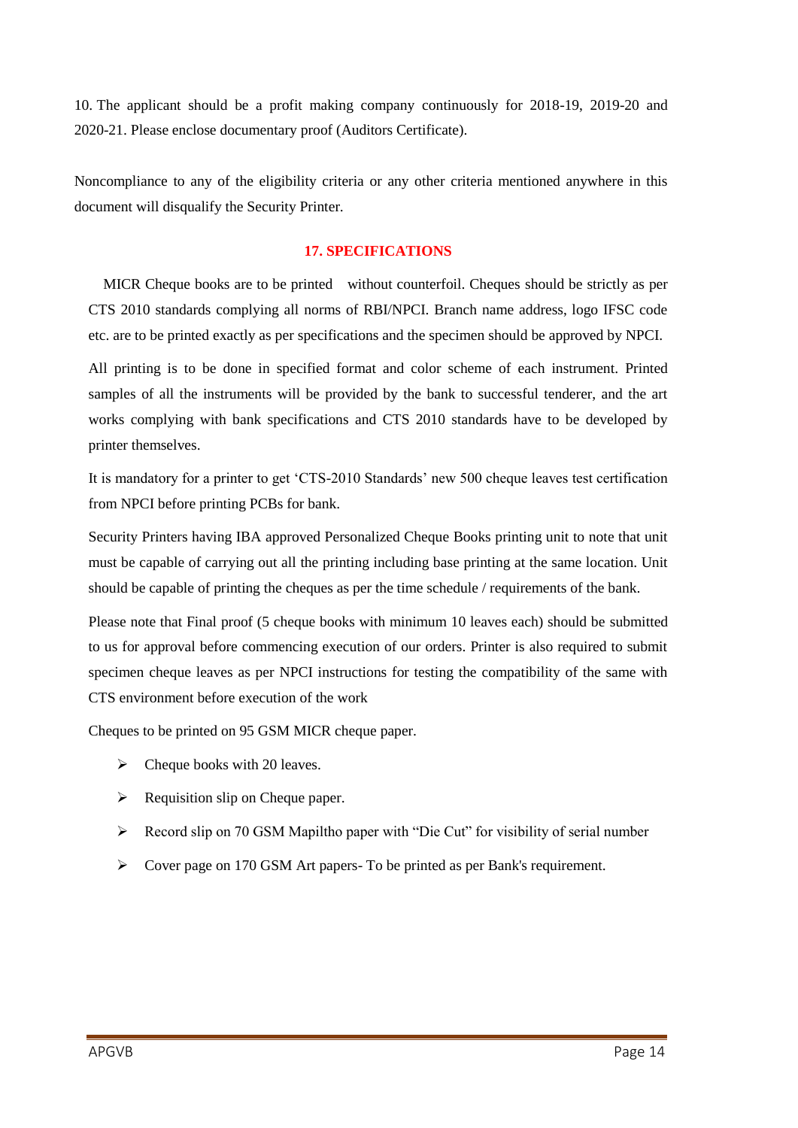10. The applicant should be a profit making company continuously for 2018-19, 2019-20 and 2020-21. Please enclose documentary proof (Auditors Certificate).

Noncompliance to any of the eligibility criteria or any other criteria mentioned anywhere in this document will disqualify the Security Printer.

## **17. SPECIFICATIONS**

 MICR Cheque books are to be printed without counterfoil. Cheques should be strictly as per CTS 2010 standards complying all norms of RBI/NPCI. Branch name address, logo IFSC code etc. are to be printed exactly as per specifications and the specimen should be approved by NPCI.

All printing is to be done in specified format and color scheme of each instrument. Printed samples of all the instruments will be provided by the bank to successful tenderer, and the art works complying with bank specifications and CTS 2010 standards have to be developed by printer themselves.

It is mandatory for a printer to get "CTS-2010 Standards" new 500 cheque leaves test certification from NPCI before printing PCBs for bank.

Security Printers having IBA approved Personalized Cheque Books printing unit to note that unit must be capable of carrying out all the printing including base printing at the same location. Unit should be capable of printing the cheques as per the time schedule / requirements of the bank.

Please note that Final proof (5 cheque books with minimum 10 leaves each) should be submitted to us for approval before commencing execution of our orders. Printer is also required to submit specimen cheque leaves as per NPCI instructions for testing the compatibility of the same with CTS environment before execution of the work

Cheques to be printed on 95 GSM MICR cheque paper.

- $\triangleright$  Cheque books with 20 leaves.
- $\triangleright$  Requisition slip on Cheque paper.
- Record slip on 70 GSM Mapiltho paper with "Die Cut" for visibility of serial number
- Cover page on 170 GSM Art papers- To be printed as per Bank's requirement.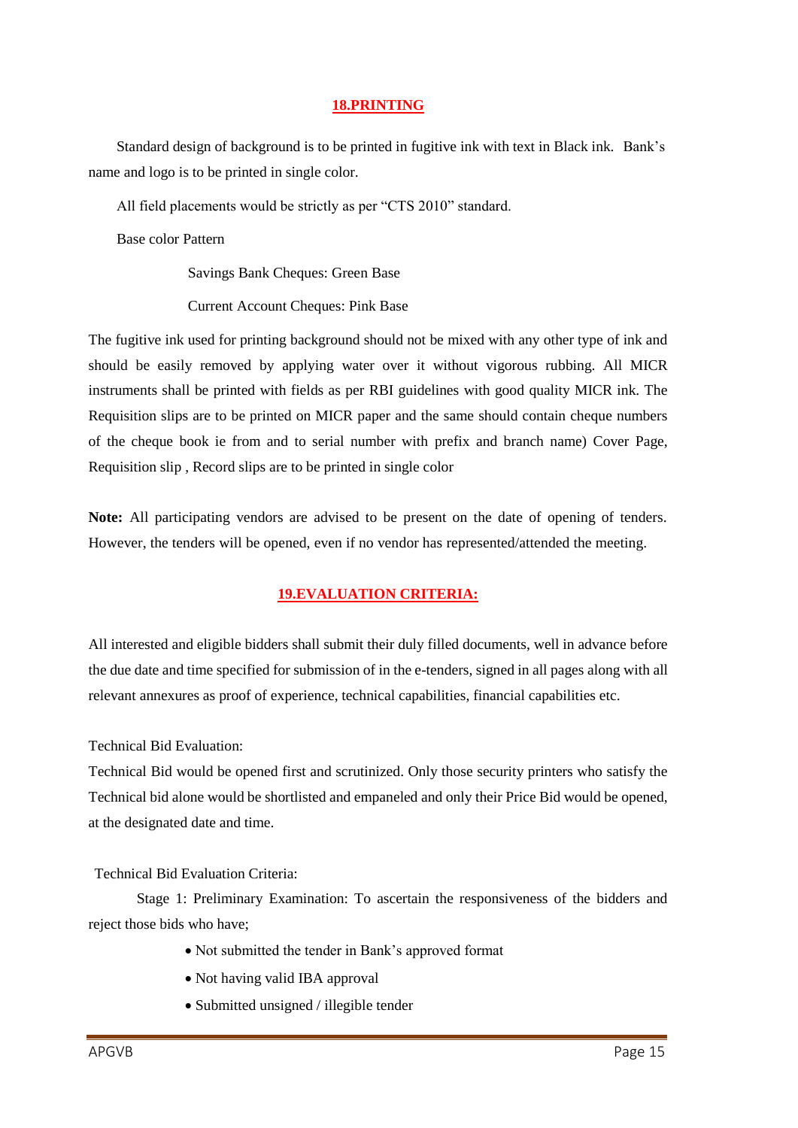#### **18.PRINTING**

Standard design of background is to be printed in fugitive ink with text in Black ink. Bank"s name and logo is to be printed in single color.

All field placements would be strictly as per "CTS 2010" standard.

Base color Pattern

Savings Bank Cheques: Green Base

Current Account Cheques: Pink Base

The fugitive ink used for printing background should not be mixed with any other type of ink and should be easily removed by applying water over it without vigorous rubbing. All MICR instruments shall be printed with fields as per RBI guidelines with good quality MICR ink. The Requisition slips are to be printed on MICR paper and the same should contain cheque numbers of the cheque book ie from and to serial number with prefix and branch name) Cover Page, Requisition slip , Record slips are to be printed in single color

**Note:** All participating vendors are advised to be present on the date of opening of tenders. However, the tenders will be opened, even if no vendor has represented/attended the meeting.

# **19.EVALUATION CRITERIA:**

All interested and eligible bidders shall submit their duly filled documents, well in advance before the due date and time specified for submission of in the e-tenders, signed in all pages along with all relevant annexures as proof of experience, technical capabilities, financial capabilities etc.

Technical Bid Evaluation:

Technical Bid would be opened first and scrutinized. Only those security printers who satisfy the Technical bid alone would be shortlisted and empaneled and only their Price Bid would be opened, at the designated date and time.

Technical Bid Evaluation Criteria:

Stage 1: Preliminary Examination: To ascertain the responsiveness of the bidders and reject those bids who have;

- Not submitted the tender in Bank"s approved format
- Not having valid IBA approval
- Submitted unsigned / illegible tender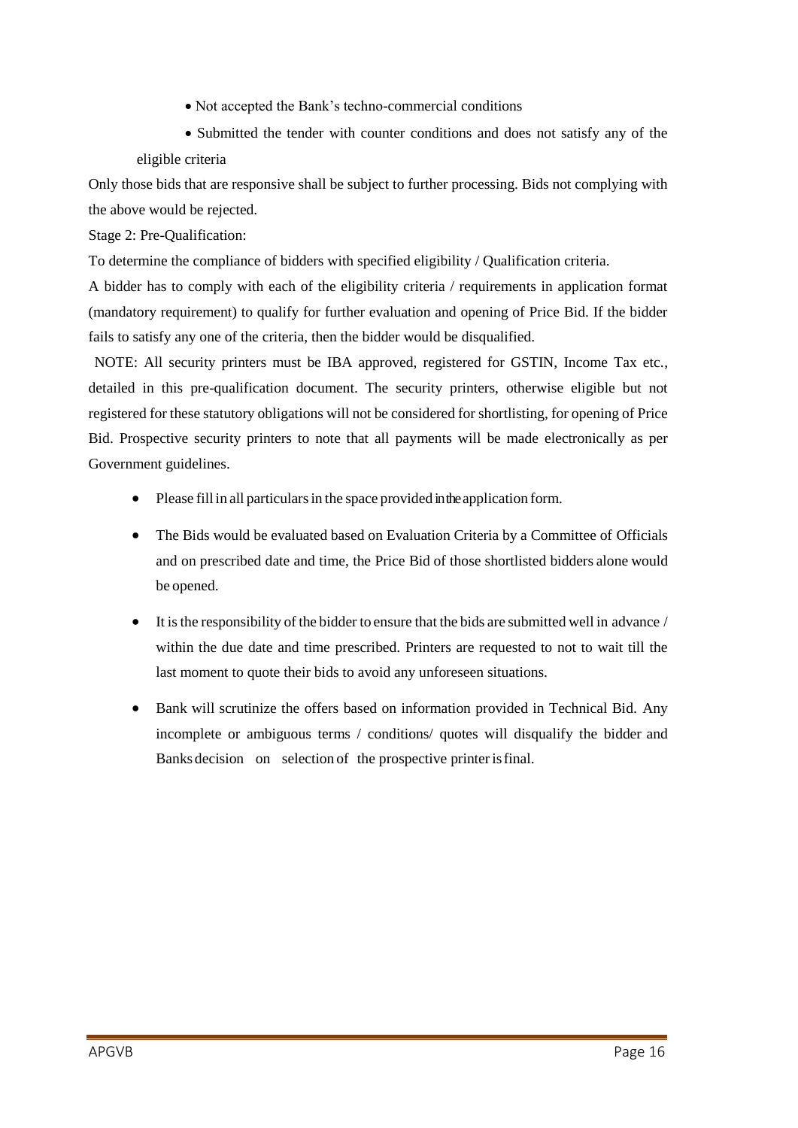- Not accepted the Bank"s techno-commercial conditions
- Submitted the tender with counter conditions and does not satisfy any of the eligible criteria

Only those bids that are responsive shall be subject to further processing. Bids not complying with the above would be rejected.

Stage 2: Pre-Qualification:

To determine the compliance of bidders with specified eligibility / Qualification criteria.

A bidder has to comply with each of the eligibility criteria / requirements in application format (mandatory requirement) to qualify for further evaluation and opening of Price Bid. If the bidder fails to satisfy any one of the criteria, then the bidder would be disqualified.

NOTE: All security printers must be IBA approved, registered for GSTIN, Income Tax etc., detailed in this pre-qualification document. The security printers, otherwise eligible but not registered for these statutory obligations will not be considered for shortlisting, for opening of Price Bid. Prospective security printers to note that all payments will be made electronically as per Government guidelines.

- Please fill in all particulars in the space provided in the application form.
- The Bids would be evaluated based on Evaluation Criteria by a Committee of Officials and on prescribed date and time, the Price Bid of those shortlisted bidders alone would be opened.
- It isthe responsibility of the bidder to ensure that the bids are submitted well in advance / within the due date and time prescribed. Printers are requested to not to wait till the last moment to quote their bids to avoid any unforeseen situations.
- Bank will scrutinize the offers based on information provided in Technical Bid. Any incomplete or ambiguous terms / conditions/ quotes will disqualify the bidder and Banks decision on selection of the prospective printerisfinal.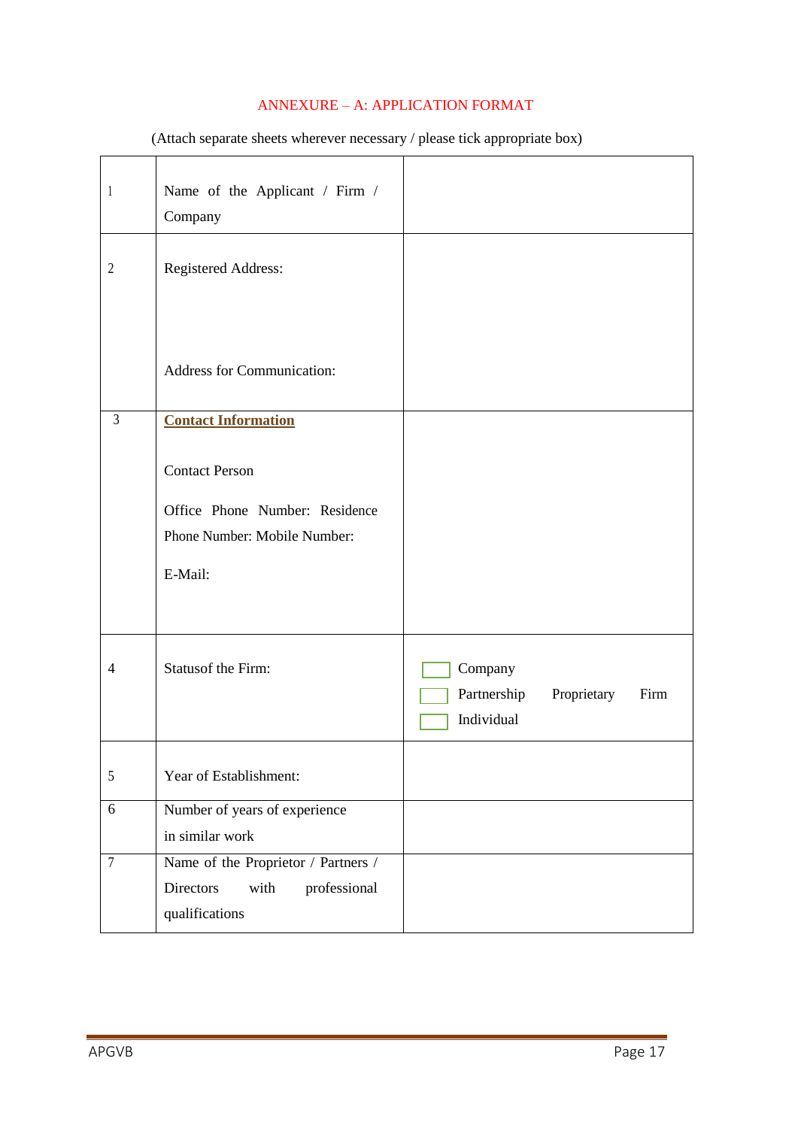# ANNEXURE – A: APPLICATION FORMAT

| $\mathbf{1}$   | Name of the Applicant / Firm /<br>Company                                                          |                                                             |
|----------------|----------------------------------------------------------------------------------------------------|-------------------------------------------------------------|
| $\overline{2}$ | Registered Address:                                                                                |                                                             |
|                | Address for Communication:                                                                         |                                                             |
| $\mathfrak{Z}$ | <b>Contact Information</b>                                                                         |                                                             |
|                | <b>Contact Person</b><br>Office Phone Number: Residence<br>Phone Number: Mobile Number:<br>E-Mail: |                                                             |
| 4              | Statusof the Firm:                                                                                 | Company<br>Partnership<br>Proprietary<br>Firm<br>Individual |
| $\sqrt{5}$     | Year of Establishment:                                                                             |                                                             |
| 6              | Number of years of experience<br>in similar work                                                   |                                                             |
| $\overline{7}$ | Name of the Proprietor / Partners /<br>professional<br>Directors<br>with<br>qualifications         |                                                             |

(Attach separate sheets wherever necessary / please tick appropriate box)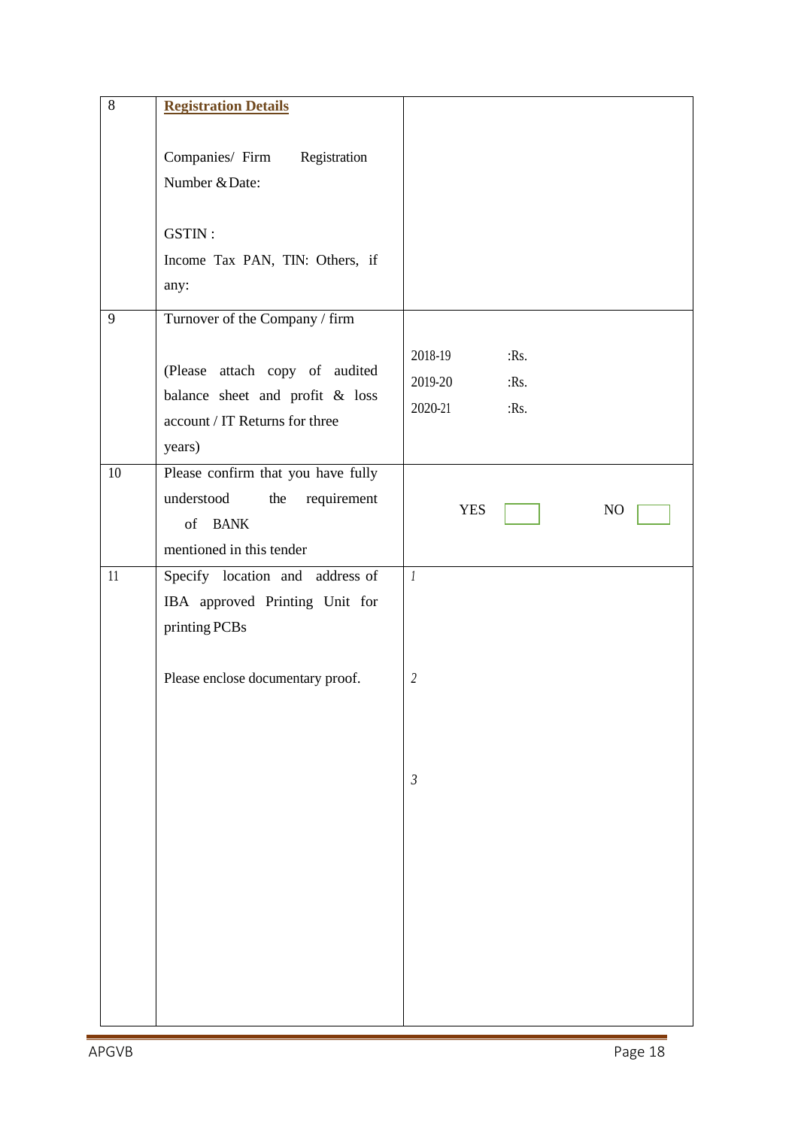| $\overline{8}$ | <b>Registration Details</b>                                                                                             |                                                                |
|----------------|-------------------------------------------------------------------------------------------------------------------------|----------------------------------------------------------------|
|                | Companies/ Firm Registration<br>Number & Date:<br>GSTIN:<br>Income Tax PAN, TIN: Others, if<br>any:                     |                                                                |
| 9              | Turnover of the Company / firm                                                                                          |                                                                |
|                | (Please attach copy of audited<br>balance sheet and profit & loss<br>account / IT Returns for three<br>years)           | 2018-19<br>$:$ Rs.<br>2019-20<br>$:$ Rs.<br>2020-21<br>$:$ Rs. |
| 10             | Please confirm that you have fully<br>understood<br>requirement<br>the<br>of BANK<br>mentioned in this tender           | <b>YES</b><br>N <sub>O</sub>                                   |
| 11             | Specify location and address of<br>IBA approved Printing Unit for<br>printing PCBs<br>Please enclose documentary proof. | $\mathbf{1}$<br>$\overline{2}$                                 |
|                |                                                                                                                         | $\mathfrak{Z}$                                                 |
|                |                                                                                                                         |                                                                |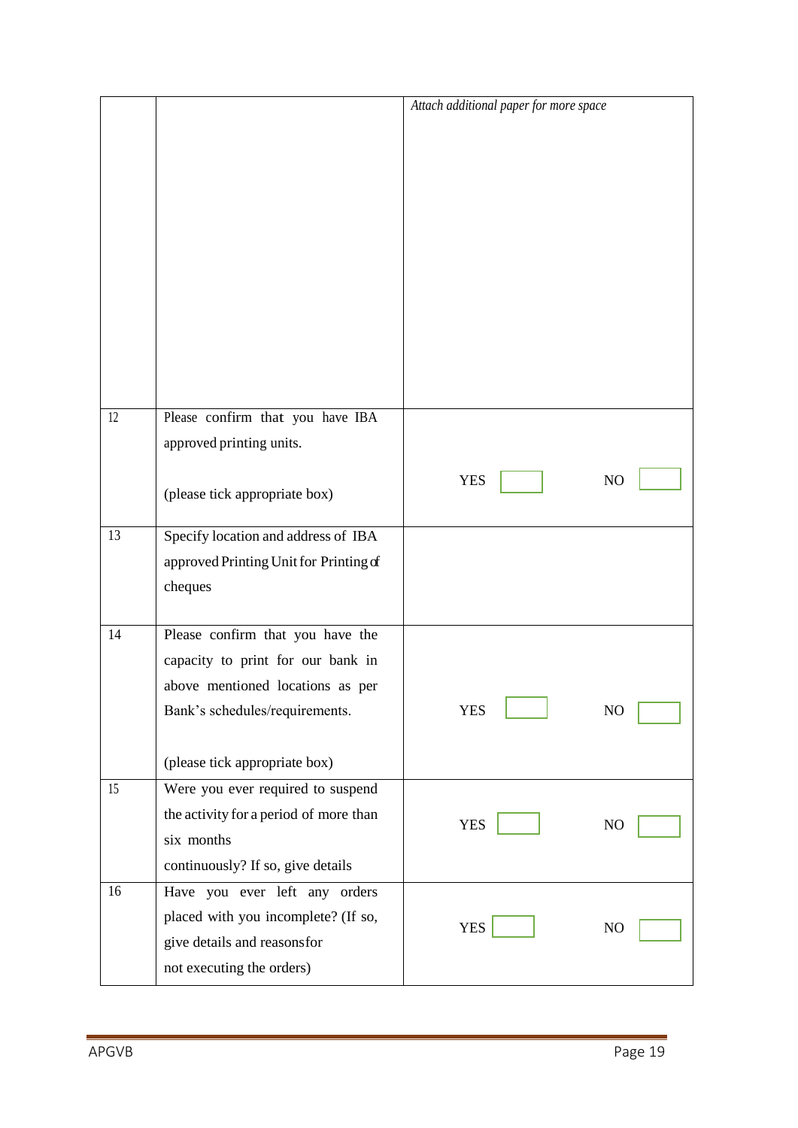|    |                                        | Attach additional paper for more space |  |
|----|----------------------------------------|----------------------------------------|--|
|    |                                        |                                        |  |
|    |                                        |                                        |  |
|    |                                        |                                        |  |
|    |                                        |                                        |  |
|    |                                        |                                        |  |
|    |                                        |                                        |  |
|    |                                        |                                        |  |
|    |                                        |                                        |  |
|    |                                        |                                        |  |
|    |                                        |                                        |  |
|    |                                        |                                        |  |
| 12 | Please confirm that you have IBA       |                                        |  |
|    | approved printing units.               |                                        |  |
|    |                                        |                                        |  |
|    | (please tick appropriate box)          | <b>YES</b><br>N <sub>O</sub>           |  |
|    |                                        |                                        |  |
| 13 | Specify location and address of IBA    |                                        |  |
|    | approved Printing Unit for Printing of |                                        |  |
|    | cheques                                |                                        |  |
| 14 | Please confirm that you have the       |                                        |  |
|    | capacity to print for our bank in      |                                        |  |
|    | above mentioned locations as per       |                                        |  |
|    | Bank's schedules/requirements.         | <b>YES</b><br>N <sub>O</sub>           |  |
|    |                                        |                                        |  |
|    | (please tick appropriate box)          |                                        |  |
| 15 | Were you ever required to suspend      |                                        |  |
|    | the activity for a period of more than | <b>YES</b><br>N <sub>O</sub>           |  |
|    | six months                             |                                        |  |
|    | continuously? If so, give details      |                                        |  |
| 16 | Have you ever left any orders          |                                        |  |
|    | placed with you incomplete? (If so,    | <b>YES</b><br>N <sub>O</sub>           |  |
|    | give details and reasonsfor            |                                        |  |
|    | not executing the orders)              |                                        |  |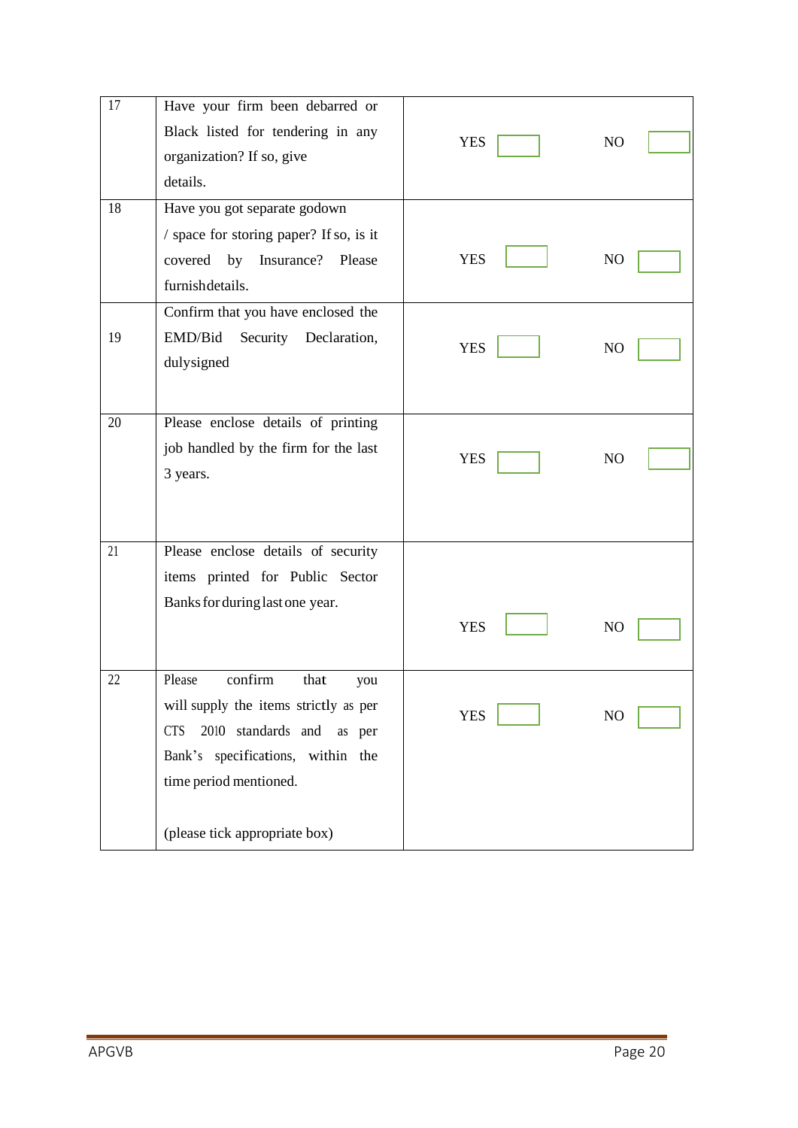| 17 | Have your firm been debarred or               |            |                |
|----|-----------------------------------------------|------------|----------------|
|    | Black listed for tendering in any             | <b>YES</b> | NO             |
|    | organization? If so, give                     |            |                |
|    | details.                                      |            |                |
| 18 | Have you got separate godown                  |            |                |
|    | / space for storing paper? If so, is it       |            |                |
|    | covered by Insurance? Please                  | <b>YES</b> | NO.            |
|    | furnishdetails.                               |            |                |
|    | Confirm that you have enclosed the            |            |                |
| 19 | EMD/Bid<br>Security<br>Declaration,           | <b>YES</b> |                |
|    | dulysigned                                    |            | N <sub>O</sub> |
|    |                                               |            |                |
| 20 | Please enclose details of printing            |            |                |
|    | job handled by the firm for the last          |            |                |
|    | 3 years.                                      | <b>YES</b> | N <sub>O</sub> |
|    |                                               |            |                |
|    |                                               |            |                |
| 21 | Please enclose details of security            |            |                |
|    | items printed for Public Sector               |            |                |
|    | Banks for during last one year.               |            |                |
|    |                                               | <b>YES</b> | N <sub>O</sub> |
|    |                                               |            |                |
| 22 | $\overline{\text{confirm}}$<br>Please<br>that |            |                |
|    | you<br>will supply the items strictly as per  |            |                |
|    | 2010 standards and<br><b>CTS</b><br>as per    | <b>YES</b> | N <sub>O</sub> |
|    | Bank's specifications, within the             |            |                |
|    |                                               |            |                |
|    | time period mentioned.                        |            |                |
|    | (please tick appropriate box)                 |            |                |
|    |                                               |            |                |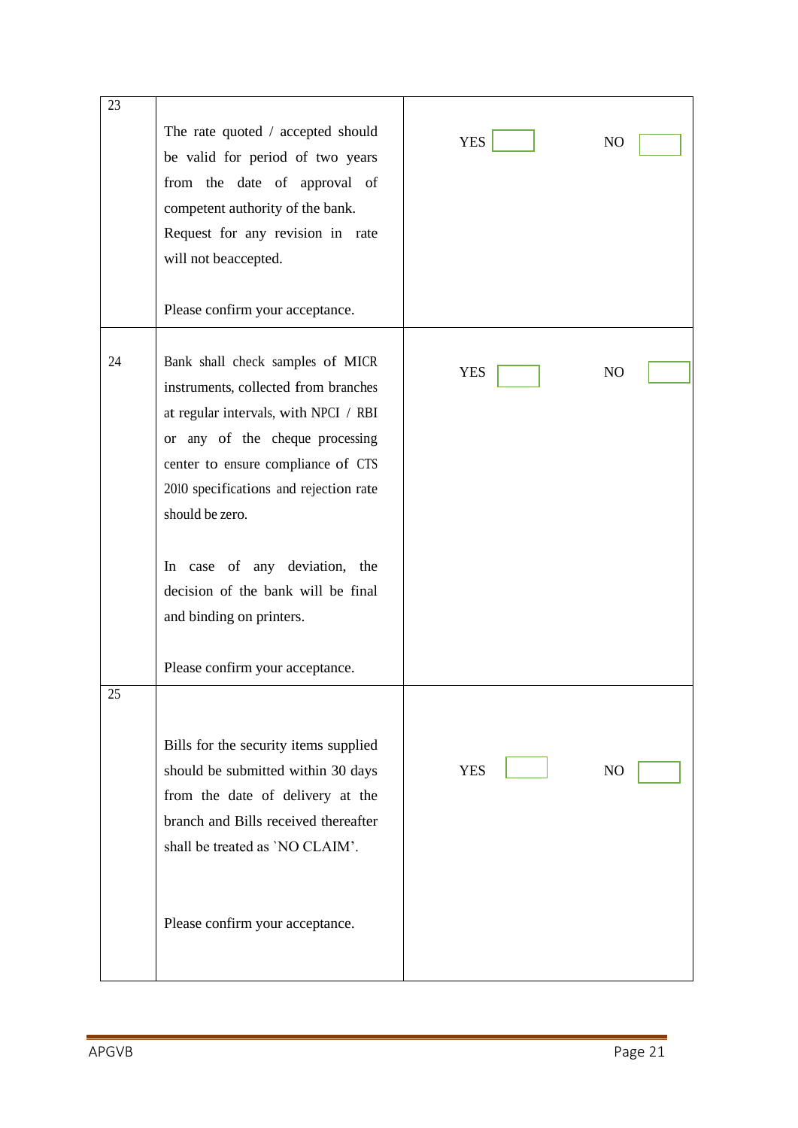| 23 | The rate quoted / accepted should<br>be valid for period of two years<br>from the date of approval of<br>competent authority of the bank.<br>Request for any revision in rate<br>will not beaccepted.<br>Please confirm your acceptance.                                                                                                                   | <b>YES</b> | N <sub>O</sub> |
|----|------------------------------------------------------------------------------------------------------------------------------------------------------------------------------------------------------------------------------------------------------------------------------------------------------------------------------------------------------------|------------|----------------|
| 24 | Bank shall check samples of MICR<br>instruments, collected from branches<br>at regular intervals, with NPCI / RBI<br>or any of the cheque processing<br>center to ensure compliance of CTS<br>2010 specifications and rejection rate<br>should be zero.<br>In case of any deviation, the<br>decision of the bank will be final<br>and binding on printers. | <b>YES</b> | N <sub>O</sub> |
| 25 | Please confirm your acceptance.                                                                                                                                                                                                                                                                                                                            |            |                |
|    | Bills for the security items supplied<br>should be submitted within 30 days<br>from the date of delivery at the<br>branch and Bills received thereafter<br>shall be treated as 'NO CLAIM'.                                                                                                                                                                 | <b>YES</b> | N <sub>O</sub> |
|    | Please confirm your acceptance.                                                                                                                                                                                                                                                                                                                            |            |                |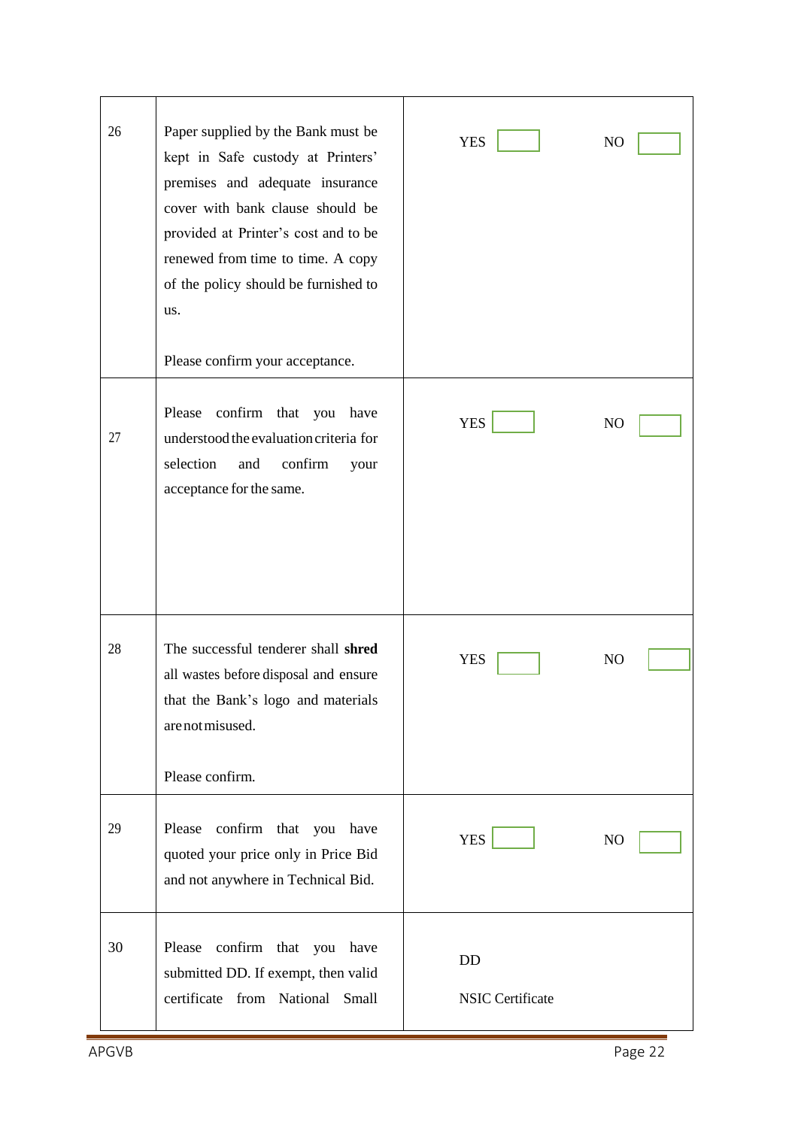| 26 | Paper supplied by the Bank must be<br>kept in Safe custody at Printers'<br>premises and adequate insurance<br>cover with bank clause should be<br>provided at Printer's cost and to be<br>renewed from time to time. A copy<br>of the policy should be furnished to<br>us.<br>Please confirm your acceptance. | <b>YES</b>                           | NO.            |
|----|---------------------------------------------------------------------------------------------------------------------------------------------------------------------------------------------------------------------------------------------------------------------------------------------------------------|--------------------------------------|----------------|
| 27 | confirm that you have<br>Please<br>understood the evaluation criteria for<br>selection<br>and<br>confirm<br>your<br>acceptance for the same.                                                                                                                                                                  | <b>YES</b>                           | N <sub>O</sub> |
| 28 | The successful tenderer shall shred<br>all wastes before disposal and ensure<br>that the Bank's logo and materials<br>are not misused.<br>Please confirm.                                                                                                                                                     | <b>YES</b>                           | NO             |
| 29 | Please confirm that you have<br>quoted your price only in Price Bid<br>and not anywhere in Technical Bid.                                                                                                                                                                                                     | <b>YES</b>                           | NO             |
| 30 | Please<br>confirm that you have<br>submitted DD. If exempt, then valid<br>certificate from National Small                                                                                                                                                                                                     | <b>DD</b><br><b>NSIC Certificate</b> |                |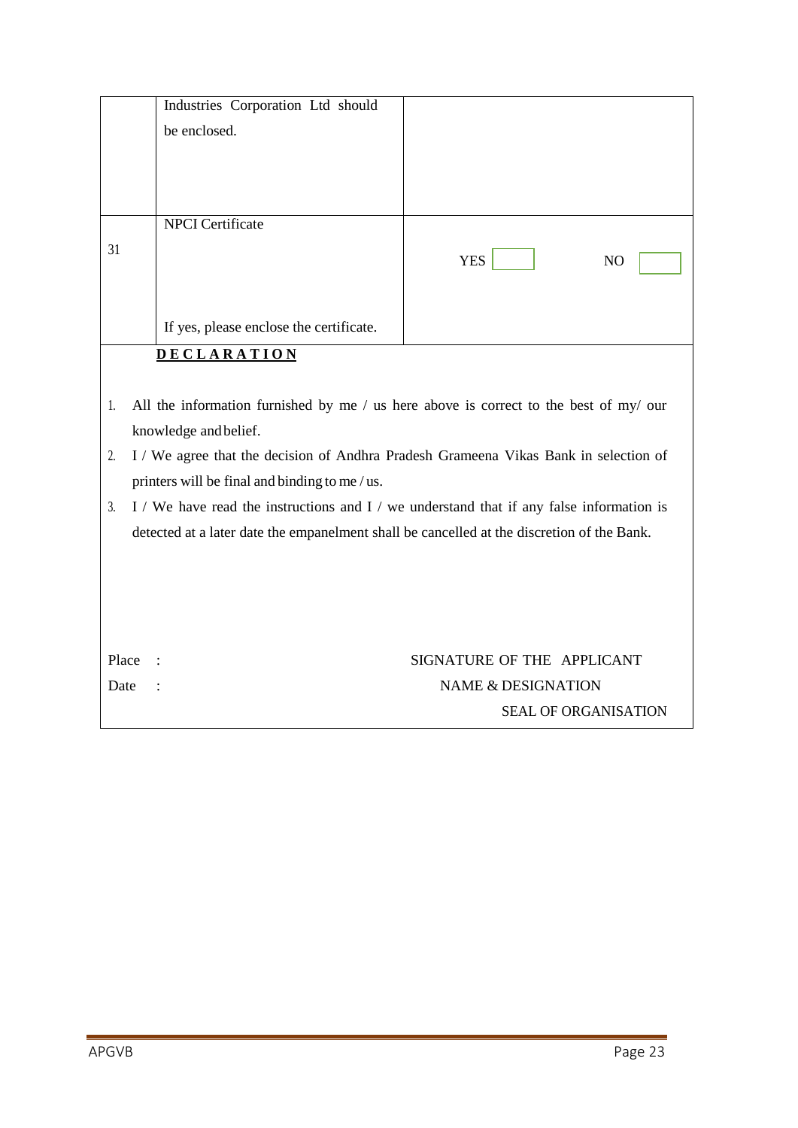|                                                                                                | Industries Corporation Ltd should                                                    |                                                                                       |  |  |  |
|------------------------------------------------------------------------------------------------|--------------------------------------------------------------------------------------|---------------------------------------------------------------------------------------|--|--|--|
|                                                                                                | be enclosed.                                                                         |                                                                                       |  |  |  |
|                                                                                                |                                                                                      |                                                                                       |  |  |  |
|                                                                                                |                                                                                      |                                                                                       |  |  |  |
|                                                                                                |                                                                                      |                                                                                       |  |  |  |
|                                                                                                | <b>NPCI</b> Certificate                                                              |                                                                                       |  |  |  |
| 31                                                                                             |                                                                                      | <b>YES</b><br>N <sub>O</sub>                                                          |  |  |  |
|                                                                                                |                                                                                      |                                                                                       |  |  |  |
|                                                                                                |                                                                                      |                                                                                       |  |  |  |
|                                                                                                | If yes, please enclose the certificate.                                              |                                                                                       |  |  |  |
| <b>DECLARATION</b>                                                                             |                                                                                      |                                                                                       |  |  |  |
|                                                                                                |                                                                                      |                                                                                       |  |  |  |
| 1.                                                                                             |                                                                                      | All the information furnished by me / us here above is correct to the best of my/ our |  |  |  |
| knowledge and belief.                                                                          |                                                                                      |                                                                                       |  |  |  |
| 2.                                                                                             | I / We agree that the decision of Andhra Pradesh Grameena Vikas Bank in selection of |                                                                                       |  |  |  |
|                                                                                                | printers will be final and binding to me / us.                                       |                                                                                       |  |  |  |
| I / We have read the instructions and I / we understand that if any false information is<br>3. |                                                                                      |                                                                                       |  |  |  |
| detected at a later date the empanelment shall be cancelled at the discretion of the Bank.     |                                                                                      |                                                                                       |  |  |  |
|                                                                                                |                                                                                      |                                                                                       |  |  |  |
|                                                                                                |                                                                                      |                                                                                       |  |  |  |
|                                                                                                |                                                                                      |                                                                                       |  |  |  |
|                                                                                                |                                                                                      |                                                                                       |  |  |  |
| Place                                                                                          |                                                                                      | SIGNATURE OF THE APPLICANT                                                            |  |  |  |
| Date                                                                                           | <b>NAME &amp; DESIGNATION</b>                                                        |                                                                                       |  |  |  |
|                                                                                                |                                                                                      | <b>SEAL OF ORGANISATION</b>                                                           |  |  |  |
|                                                                                                |                                                                                      |                                                                                       |  |  |  |